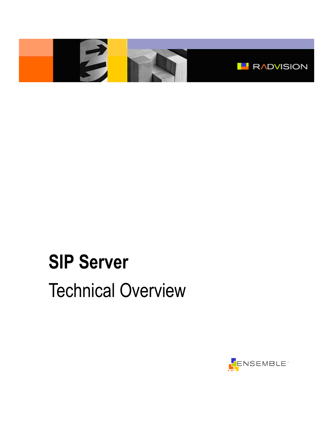

# **SIP Server** Technical Overview

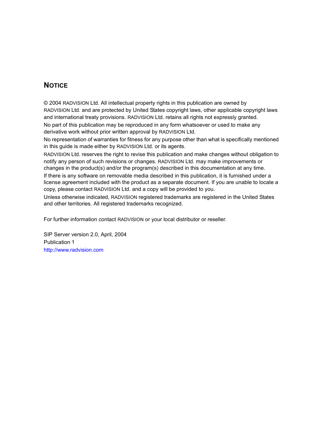### **NOTICE**

© 2004 RADVISION Ltd. All intellectual property rights in this publication are owned by RADVISION Ltd. and are protected by United States copyright laws, other applicable copyright laws and international treaty provisions. RADVISION Ltd. retains all rights not expressly granted. No part of this publication may be reproduced in any form whatsoever or used to make any derivative work without prior written approval by RADVISION Ltd.

No representation of warranties for fitness for any purpose other than what is specifically mentioned in this guide is made either by RADVISION Ltd. or its agents.

RADVISION Ltd. reserves the right to revise this publication and make changes without obligation to notify any person of such revisions or changes. RADVISION Ltd. may make improvements or changes in the product(s) and/or the program(s) described in this documentation at any time. If there is any software on removable media described in this publication, it is furnished under a license agreement included with the product as a separate document. If you are unable to locate a copy, please contact RADVISION Ltd. and a copy will be provided to you.

Unless otherwise indicated, RADVISION registered trademarks are registered in the United States and other territories. All registered trademarks recognized.

For further information contact RADVISION or your local distributor or reseller.

SIP Server version 2.0, April, 2004 Publication 1 [http://www.radvision.com](http://www.radvision.com )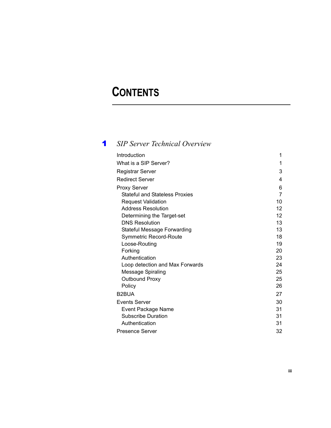## **CONTENTS**

### [1](#page-4-0) *[SIP Server Technical Overview](#page-4-1)*

| Introduction                          | 1              |
|---------------------------------------|----------------|
| What is a SIP Server?                 | 1              |
| Registrar Server                      | 3              |
| <b>Redirect Server</b>                | 4              |
| <b>Proxy Server</b>                   | 6              |
| <b>Stateful and Stateless Proxies</b> | $\overline{7}$ |
| <b>Request Validation</b>             | 10             |
| <b>Address Resolution</b>             | 12             |
| Determining the Target-set            | 12             |
| <b>DNS Resolution</b>                 | 13             |
| Stateful Message Forwarding           | 13             |
| <b>Symmetric Record-Route</b>         | 18             |
| Loose-Routing                         | 19             |
| Forking                               | 20             |
| Authentication                        | 23             |
| Loop detection and Max Forwards       | 24             |
| <b>Message Spiraling</b>              | 25             |
| <b>Outbound Proxy</b>                 | 25             |
| Policy                                | 26             |
| B <sub>2</sub> BUA                    | 27             |
| <b>Events Server</b>                  | 30             |
| Event Package Name                    | 31             |
| <b>Subscribe Duration</b>             | 31             |
| Authentication                        | 31             |
| <b>Presence Server</b>                | 32             |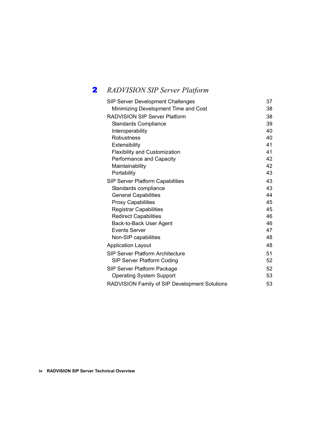## [2](#page-40-0) *[RADVISION SIP Server Platform](#page-40-1)*

| SIP Server Development Challenges             | 37 |
|-----------------------------------------------|----|
| Minimizing Development Time and Cost          | 38 |
| <b>RADVISION SIP Server Platform</b>          | 38 |
| Standards Compliance                          | 39 |
| Interoperability                              | 40 |
| Robustness                                    | 40 |
| Extensibility                                 | 41 |
| <b>Flexibility and Customization</b>          | 41 |
| Performance and Capacity                      | 42 |
| Maintainability                               | 42 |
| Portability                                   | 43 |
| <b>SIP Server Platform Capabilities</b>       | 43 |
| Standards compliance                          | 43 |
| <b>General Capabilities</b>                   | 44 |
| <b>Proxy Capabilities</b>                     | 45 |
| <b>Registrar Capabilities</b>                 | 45 |
| <b>Redirect Capabilities</b>                  | 46 |
| Back-to-Back User Agent                       | 46 |
| <b>Events Server</b>                          | 47 |
| Non-SIP capabilities                          | 48 |
| <b>Application Layout</b>                     | 48 |
| <b>SIP Server Platform Architecture</b>       | 51 |
| SIP Server Platform Coding                    | 52 |
| SIP Server Platform Package                   | 52 |
| <b>Operating System Support</b>               | 53 |
| RADVISION Family of SIP Development Solutions | 53 |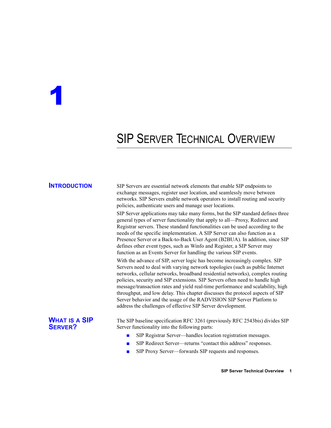<span id="page-4-0"></span>1

## <span id="page-4-1"></span>SIP SERVER TECHNICAL OVERVIEW

<span id="page-4-2"></span>**INTRODUCTION** SIP Servers are essential network elements that enable SIP endpoints to exchange messages, register user location, and seamlessly move between networks. SIP Servers enable network operators to install routing and security policies, authenticate users and manage user locations.

> SIP Server applications may take many forms, but the SIP standard defines three general types of server functionality that apply to all—Proxy, Redirect and Registrar servers. These standard functionalities can be used according to the needs of the specific implementation. A SIP Server can also function as a Presence Server or a Back-to-Back User Agent (B2BUA). In addition, since SIP defines other event types, such as Winfo and Register, a SIP Server may function as an Events Server for handling the various SIP events.

> With the advance of SIP, server logic has become increasingly complex. SIP Servers need to deal with varying network topologies (such as public Internet networks, cellular networks, broadband residential networks), complex routing policies, security and SIP extensions. SIP Servers often need to handle high message/transaction rates and yield real-time performance and scalability, high throughput, and low delay. This chapter discusses the protocol aspects of SIP Server behavior and the usage of the RADVISION SIP Server Platform to address the challenges of effective SIP Server development.

### <span id="page-4-3"></span>**WHAT IS A SIP SERVER?**

The SIP baseline specification RFC 3261 (previously RFC 2543bis) divides SIP Server functionality into the following parts:

- SIP Registrar Server—handles location registration messages.
- **SIP Redirect Server—returns "contact this address" responses.**
- **SIP Proxy Server—forwards SIP requests and responses.**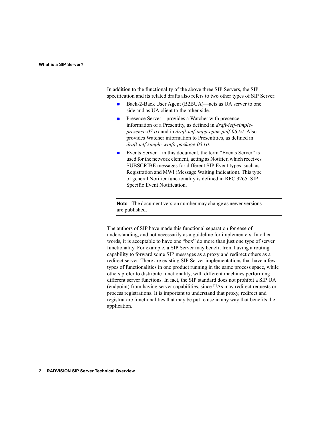In addition to the functionality of the above three SIP Servers, the SIP specification and its related drafts also refers to two other types of SIP Server:

- Back-2-Back User Agent (B2BUA)—acts as UA server to one side and as UA client to the other side.
- Presence Server—provides a Watcher with presence information of a Presentity, as defined in *draft-ietf-simplepresence-07.txt* and in *draft-ietf-impp-cpim-pidf-06.txt.* Also provides Watcher information to Presentities, as defined in *draft-ietf-simple-winfo-package-05.txt*.
- Events Server—in this document, the term "Events Server" is used for the network element, acting as Notifier, which receives SUBSCRIBE messages for different SIP Event types, such as Registration and MWI (Message Waiting Indication). This type of general Notifier functionality is defined in RFC 3265: SIP Specific Event Notification.

**Note** The document version number may change as newer versions are published.

The authors of SIP have made this functional separation for ease of understanding, and not necessarily as a guideline for implementers. In other words, it is acceptable to have one "box" do more than just one type of server functionality. For example, a SIP Server may benefit from having a routing capability to forward some SIP messages as a proxy and redirect others as a redirect server. There are existing SIP Server implementations that have a few types of functionalities in one product running in the same process space, while others prefer to distribute functionality, with different machines performing different server functions. In fact, the SIP standard does not prohibit a SIP UA (endpoint) from having server capabilities, since UAs may redirect requests or process registrations. It is important to understand that proxy, redirect and registrar are functionalities that may be put to use in any way that benefits the application.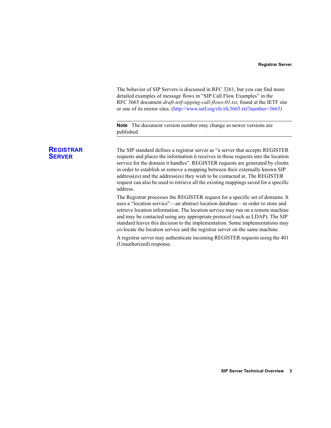The behavior of SIP Servers is discussed in RFC 3261, but you can find more detailed examples of message flows in "SIP Call Flow Examples" in the RFC 3665 document *draft-ietf-sipping-call-flows-01.txt*, found at the IETF site or one of its mirror sites. (<http://www.ietf.org/rfc/rfc3665.txt?number=3665>)

**Note** The document version number may change as newer versions are published.

### <span id="page-6-0"></span>**REGISTRAR SERVER**

The SIP standard defines a registrar server as "a server that accepts REGISTER requests and places the information it receives in those requests into the location service for the domain it handles". REGISTER requests are generated by clients in order to establish or remove a mapping between their externally known SIP address(es) and the address(es) they wish to be contacted at. The REGISTER request can also be used to retrieve all the existing mappings saved for a specific address.

The Registrar processes the REGISTER request for a specific set of domains. It uses a "location service"—an abstract location database—in order to store and retrieve location information. The location service may run on a remote machine and may be contacted using any appropriate protocol (such as LDAP). The SIP standard leaves this decision to the implementation. Some implementations may co-locate the location service and the registrar server on the same machine.

A registrar server may authenticate incoming REGISTER requests using the 401 (Unauthorized) response.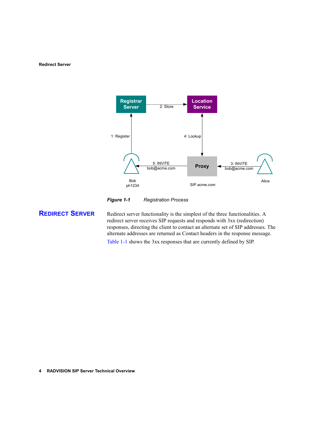

*Figure 1-1 Registration Process*

<span id="page-7-0"></span>**REDIRECT SERVER** Redirect server functionality is the simplest of the three functionalities. A redirect server receives SIP requests and responds with 3xx (redirection) responses, directing the client to contact an alternate set of SIP addresses. The alternate addresses are returned as Contact headers in the response message. Table 1-1 shows the 3xx responses that are currently defined by SIP.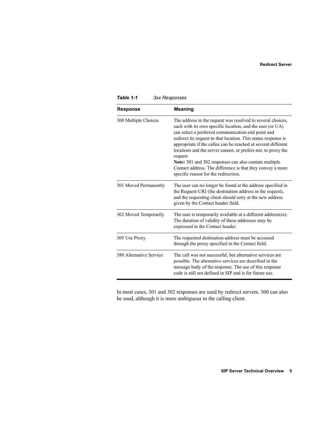| <b>Response</b>         | <b>Meaning</b>                                                                                                                                                                                                                                                                                                                                                                                                                                                                                                                                               |
|-------------------------|--------------------------------------------------------------------------------------------------------------------------------------------------------------------------------------------------------------------------------------------------------------------------------------------------------------------------------------------------------------------------------------------------------------------------------------------------------------------------------------------------------------------------------------------------------------|
| 300 Multiple Choices    | The address in the request was resolved to several choices,<br>each with its own specific location, and the user (or UA)<br>can select a preferred communication end point and<br>redirect its request to that location. This status response is<br>appropriate if the callee can be reached at several different<br>locations and the server cannot, or prefers not, to proxy the<br>request<br>Note: 301 and 302 responses can also contain multiple<br>Contact address. The difference is that they convey a more<br>specific reason for the redirection. |
| 301 Moved Permanently   | The user can no longer be found at the address specified in<br>the Request-URI (the destination address in the request),<br>and the requesting client should retry at the new address<br>given by the Contact header field.                                                                                                                                                                                                                                                                                                                                  |
| 302 Moved Temporarily   | The user is temporarily available at a different address(es).<br>The duration of validity of these addresses may be<br>expressed in the Contact header.                                                                                                                                                                                                                                                                                                                                                                                                      |
| 305 Use Proxy           | The requested destination address must be accessed<br>through the proxy specified in the Contact field.                                                                                                                                                                                                                                                                                                                                                                                                                                                      |
| 380 Alternative Service | The call was not successful, but alternative services are<br>possible. The alternative services are described in the<br>message body of the response. The use of this response<br>code is still not defined in SIP and is for future use.                                                                                                                                                                                                                                                                                                                    |

*Table 1-1 3xx Responses*

In most cases, 301 and 302 responses are used by redirect servers. 300 can also be used, although it is more ambiguous to the calling client.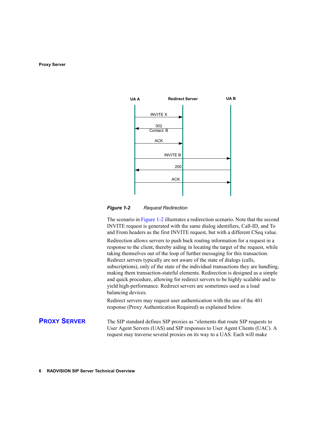

*Figure 1-2 Request Redirection* 

The scenario in Figure 1-2 illustrates a redirection scenario. Note that the second INVITE request is generated with the same dialog identifiers, Call-ID, and To and From headers as the first INVITE request, but with a different CSeq value.

Redirection allows servers to push back routing information for a request in a response to the client, thereby aiding in locating the target of the request, while taking themselves out of the loop of further messaging for this transaction. Redirect servers typically are not aware of the state of dialogs (calls, subscriptions), only of the state of the individual transactions they are handling, making them transaction-stateful elements. Redirection is designed as a simple and quick procedure, allowing for redirect servers to be highly scalable and to yield high-performance. Redirect servers are sometimes used as a load balancing devices.

Redirect servers may request user authentication with the use of the 401 response (Proxy Authentication Required) as explained below.

<span id="page-9-0"></span>**PROXY SERVER** The SIP standard defines SIP proxies as "elements that route SIP requests to User Agent Servers (UAS) and SIP responses to User Agent Clients (UAC). A request may traverse several proxies on its way to a UAS. Each will make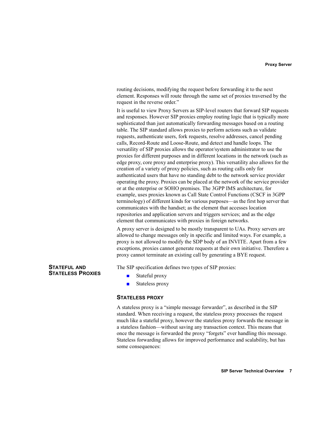routing decisions, modifying the request before forwarding it to the next element. Responses will route through the same set of proxies traversed by the request in the reverse order."

It is useful to view Proxy Servers as SIP-level routers that forward SIP requests and responses. However SIP proxies employ routing logic that is typically more sophisticated than just automatically forwarding messages based on a routing table. The SIP standard allows proxies to perform actions such as validate requests, authenticate users, fork requests, resolve addresses, cancel pending calls, Record-Route and Loose-Route, and detect and handle loops. The versatility of SIP proxies allows the operator/system administrator to use the proxies for different purposes and in different locations in the network (such as edge proxy, core proxy and enterprise proxy). This versatility also allows for the creation of a variety of proxy policies, such as routing calls only for authenticated users that have no standing debt to the network service provider operating the proxy. Proxies can be placed at the network of the service provider or at the enterprise or SOHO premises. The 3GPP IMS architecture, for example, uses proxies known as Call State Control Functions (CSCF in 3GPP terminology) of different kinds for various purposes—as the first hop server that communicates with the handset; as the element that accesses location repositories and application servers and triggers services; and as the edge element that communicates with proxies in foreign networks.

A proxy server is designed to be mostly transparent to UAs. Proxy servers are allowed to change messages only in specific and limited ways. For example, a proxy is not allowed to modify the SDP body of an INVITE. Apart from a few exceptions, proxies cannot generate requests at their own initiative. Therefore a proxy cannot terminate an existing call by generating a BYE request.

The SIP specification defines two types of SIP proxies:

- Stateful proxy
- **Stateless proxy**

### **STATELESS PROXY**

A stateless proxy is a "simple message forwarder", as described in the SIP standard. When receiving a request, the stateless proxy processes the request much like a stateful proxy, however the stateless proxy forwards the message in a stateless fashion—without saving any transaction context. This means that once the message is forwarded the proxy "forgets" ever handling this message. Stateless forwarding allows for improved performance and scalability, but has some consequences:

### <span id="page-10-0"></span>**STATEFUL AND STATELESS PROXIES**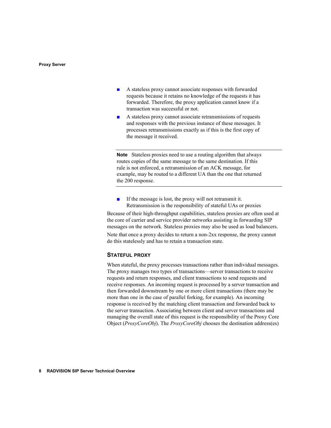- **A** stateless proxy cannot associate responses with forwarded requests because it retains no knowledge of the requests it has forwarded. Therefore, the proxy application cannot know if a transaction was successful or not.
- A stateless proxy cannot associate retransmissions of requests and responses with the previous instance of these messages. It processes retransmissions exactly as if this is the first copy of the message it received.

**Note** Stateless proxies need to use a routing algorithm that always routes copies of the same message to the same destination. If this rule is not enforced, a retransmission of an ACK message, for example, may be routed to a different UA than the one that returned the 200 response.

**If the message is lost, the proxy will not retransmit it.** Retransmission is the responsibility of stateful UAs or proxies

Because of their high-throughput capabilities, stateless proxies are often used at the core of carrier and service provider networks assisting in forwarding SIP messages on the network. Stateless proxies may also be used as load balancers.

Note that once a proxy decides to return a non-2xx response, the proxy cannot do this statelessly and has to retain a transaction state.

### **STATEFUL PROXY**

When stateful, the proxy processes transactions rather than individual messages. The proxy manages two types of transactions—server transactions to receive requests and return responses, and client transactions to send requests and receive responses. An incoming request is processed by a server transaction and then forwarded downstream by one or more client transactions (there may be more than one in the case of parallel forking, for example). An incoming response is received by the matching client transaction and forwarded back to the server transaction. Associating between client and server transactions and managing the overall state of this request is the responsibility of the Proxy Core Object (*ProxyCoreObj*). The *ProxyCoreObj* chooses the destination address(es)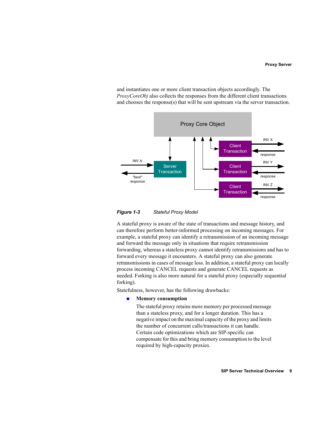and instantiates one or more client transaction objects accordingly. The *ProxyCoreObj* also collects the responses from the different client transactions and chooses the response(s) that will be sent upstream via the server transaction.





A stateful proxy is aware of the state of transactions and message history, and can therefore perform better-informed processing on incoming messages. For example, a stateful proxy can identify a retransmission of an incoming message and forward the message only in situations that require retransmission forwarding, whereas a stateless proxy cannot identify retransmissions and has to forward every message it encounters. A stateful proxy can also generate retransmissions in cases of message loss. In addition, a stateful proxy can locally process incoming CANCEL requests and generate CANCEL requests as needed. Forking is also more natural for a stateful proxy (especially sequential forking).

Statefulness, however, has the following drawbacks:

### **Memory consumption**

The stateful proxy retains more memory per processed message than a stateless proxy, and for a longer duration. This has a negative impact on the maximal capacity of the proxy and limits the number of concurrent calls/transactions it can handle. Certain code optimizations which are SIP-specific can compensate for this and bring memory consumption to the level required by high-capacity proxies.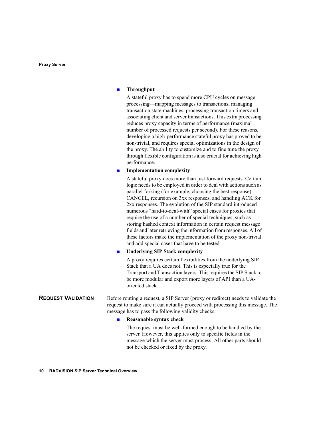### **Throughput**

A stateful proxy has to spend more CPU cycles on message processing—mapping messages to transactions, managing transaction state machines, processing transaction timers and associating client and server transactions. This extra processing reduces proxy capacity in terms of performance (maximal number of processed requests per second). For these reasons, developing a high-performance stateful proxy has proved to be non-trivial, and requires special optimizations in the design of the proxy. The ability to customize and to fine tune the proxy through flexible configuration is also crucial for achieving high performance.

### **Implementation complexity**

A stateful proxy does more than just forward requests. Certain logic needs to be employed in order to deal with actions such as parallel forking (for example, choosing the best response), CANCEL, recursion on 3xx responses, and handling ACK for 2xx responses. The evolution of the SIP standard introduced numerous "hard-to-deal-with" special cases for proxies that require the use of a number of special techniques, such as storing hashed context information in certain request message fields and later retrieving the information from responses. All of these factors make the implementation of the proxy non-trivial and add special cases that have to be tested.

### **Underlying SIP Stack complexity**

A proxy requires certain flexibilities from the underlying SIP Stack that a UA does not. This is especially true for the Transport and Transaction layers. This requires the SIP Stack to be more modular and export more layers of API than a UAoriented stack.

### <span id="page-13-0"></span>**REQUEST VALIDATION** Before routing a request, a SIP Server (proxy or redirect) needs to validate the request to make sure it can actually proceed with processing this message. The message has to pass the following validity checks:

**Reasonable syntax check**

The request must be well-formed enough to be handled by the server. However, this applies only to specific fields in the message which the server must process. All other parts should not be checked or fixed by the proxy.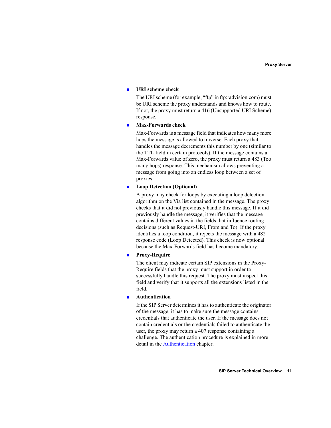### **URI scheme check**

The URI scheme (for example, "ftp" in ftp:radvision.com) must be URI scheme the proxy understands and knows how to route. If not, the proxy must return a 416 (Unsupported URI Scheme) response.

### **Max-Forwards check**

Max-Forwards is a message field that indicates how many more hops the message is allowed to traverse. Each proxy that handles the message decrements this number by one (similar to the TTL field in certain protocols). If the message contains a Max-Forwards value of zero, the proxy must return a 483 (Too many hops) response. This mechanism allows preventing a message from going into an endless loop between a set of proxies.

### **Loop Detection (Optional)**

A proxy may check for loops by executing a loop detection algorithm on the Via list contained in the message. The proxy checks that it did not previously handle this message. If it did previously handle the message, it verifies that the message contains different values in the fields that influence routing decisions (such as Request-URI, From and To). If the proxy identifies a loop condition, it rejects the message with a 482 response code (Loop Detected). This check is now optional because the Max-Forwards field has become mandatory.

### **Proxy-Require**

The client may indicate certain SIP extensions in the Proxy-Require fields that the proxy must support in order to successfully handle this request. The proxy must inspect this field and verify that it supports all the extensions listed in the field.

### **Authentication**

If the SIP Server determines it has to authenticate the originator of the message, it has to make sure the message contains credentials that authenticate the user. If the message does not contain credentials or the credentials failed to authenticate the user, the proxy may return a 407 response containing a challenge. The authentication procedure is explained in more detail in [the Authentication chapter](#page-26-0).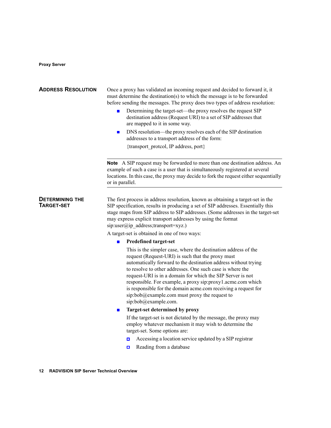<span id="page-15-1"></span><span id="page-15-0"></span>

| <b>ADDRESS RESOLUTION</b>                   | Once a proxy has validated an incoming request and decided to forward it, it<br>must determine the destination(s) to which the message is to be forwarded<br>before sending the messages. The proxy does two types of address resolution:<br>Determining the target-set—the proxy resolves the request SIP<br>$\blacksquare$<br>destination address (Request URI) to a set of SIP addresses that<br>are mapped to it in some way.<br>DNS resolution—the proxy resolves each of the SIP destination<br>$\blacksquare$<br>addresses to a transport address of the form:<br>{transport protcol, IP address, port} |
|---------------------------------------------|----------------------------------------------------------------------------------------------------------------------------------------------------------------------------------------------------------------------------------------------------------------------------------------------------------------------------------------------------------------------------------------------------------------------------------------------------------------------------------------------------------------------------------------------------------------------------------------------------------------|
|                                             | <b>Note</b> A SIP request may be forwarded to more than one destination address. An<br>example of such a case is a user that is simultaneously registered at several<br>locations. In this case, the proxy may decide to fork the request either sequentially<br>or in parallel.                                                                                                                                                                                                                                                                                                                               |
| <b>DETERMINING THE</b><br><b>TARGET-SET</b> | The first process in address resolution, known as obtaining a target-set in the<br>SIP specification, results in producing a set of SIP addresses. Essentially this<br>stage maps from SIP address to SIP addresses. (Some addresses in the target-set<br>may express explicit transport addresses by using the format<br>$sip: user@ip address; transport=xyz.)$                                                                                                                                                                                                                                              |
|                                             | A target-set is obtained in one of two ways:                                                                                                                                                                                                                                                                                                                                                                                                                                                                                                                                                                   |
|                                             | <b>Predefined target-set</b><br>$\blacksquare$                                                                                                                                                                                                                                                                                                                                                                                                                                                                                                                                                                 |
|                                             | This is the simpler case, where the destination address of the<br>request (Request-URI) is such that the proxy must<br>automatically forward to the destination address without trying<br>to resolve to other addresses. One such case is where the<br>request-URI is in a domain for which the SIP Server is not<br>responsible. For example, a proxy sip:proxy1.acme.com which<br>is responsible for the domain acme.com receiving a request for<br>sip:bob@example.com must proxy the request to<br>sip:bob@example.com.                                                                                    |
|                                             | Target-set determined by proxy<br>$\blacksquare$                                                                                                                                                                                                                                                                                                                                                                                                                                                                                                                                                               |
|                                             | If the target-set is not dictated by the message, the proxy may<br>employ whatever mechanism it may wish to determine the<br>target-set. Some options are:                                                                                                                                                                                                                                                                                                                                                                                                                                                     |
|                                             | Accessing a location service updated by a SIP registrar<br>о                                                                                                                                                                                                                                                                                                                                                                                                                                                                                                                                                   |
|                                             | Reading from a database<br>о                                                                                                                                                                                                                                                                                                                                                                                                                                                                                                                                                                                   |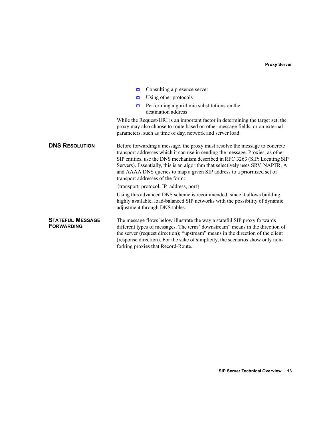<span id="page-16-1"></span><span id="page-16-0"></span>

|                                              | Consulting a presence server<br>о                                                                                                                                                                                                                                                                                                                                                                                                                |
|----------------------------------------------|--------------------------------------------------------------------------------------------------------------------------------------------------------------------------------------------------------------------------------------------------------------------------------------------------------------------------------------------------------------------------------------------------------------------------------------------------|
|                                              | Using other protocols<br>о                                                                                                                                                                                                                                                                                                                                                                                                                       |
|                                              | Performing algorithmic substitutions on the<br>О<br>destination address                                                                                                                                                                                                                                                                                                                                                                          |
|                                              | While the Request-URI is an important factor in determining the target set, the<br>proxy may also choose to route based on other message fields, or on external<br>parameters, such as time of day, network and server load.                                                                                                                                                                                                                     |
| <b>DNS RESOLUTION</b>                        | Before forwarding a message, the proxy must resolve the message to concrete<br>transport addresses which it can use in sending the message. Proxies, as other<br>SIP entities, use the DNS mechanism described in RFC 3263 (SIP: Locating SIP)<br>Servers). Essentially, this is an algorithm that selectively uses SRV, NAPTR, A<br>and AAAA DNS queries to map a given SIP address to a prioritized set of<br>transport addresses of the form: |
|                                              | {transport_protocol, IP_address, port}                                                                                                                                                                                                                                                                                                                                                                                                           |
|                                              | Using this advanced DNS scheme is recommended, since it allows building<br>highly available, load-balanced SIP networks with the possibility of dynamic<br>adjustment through DNS tables.                                                                                                                                                                                                                                                        |
| <b>STATEFUL MESSAGE</b><br><b>FORWARDING</b> | The message flows below illustrate the way a stateful SIP proxy forwards<br>different types of messages. The term "downstream" means in the direction of<br>the server (request direction); "upstream" means in the direction of the client<br>(response direction). For the sake of simplicity, the scenarios show only non-<br>forking proxies that Record-Route.                                                                              |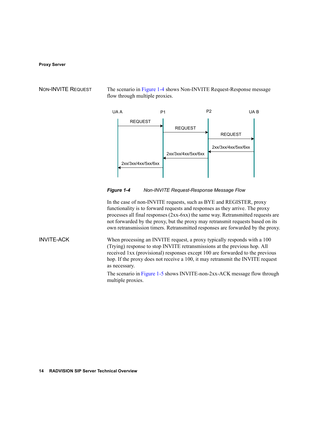NON-INVITE REQUEST The scenario in Figure 1-4 shows Non-INVITE Request-Response message flow through multiple proxies.



### *Figure 1-4 Non-INVITE Request-Response Message Flow*

In the case of non-INVITE requests, such as BYE and REGISTER, proxy functionality is to forward requests and responses as they arrive. The proxy processes all final responses (2xx-6xx) the same way. Retransmitted requests are not forwarded by the proxy, but the proxy may retransmit requests based on its own retransmission timers. Retransmitted responses are forwarded by the proxy.

INVITE-ACK When processing an INVITE request, a proxy typically responds with a 100 (Trying) response to stop INVITE retransmissions at the previous hop. All received 1xx (provisional) responses except 100 are forwarded to the previous hop. If the proxy does not receive a 100, it may retransmit the INVITE request as necessary.

> The scenario in Figure 1-5 shows INVITE-non-2xx-ACK message flow through multiple proxies.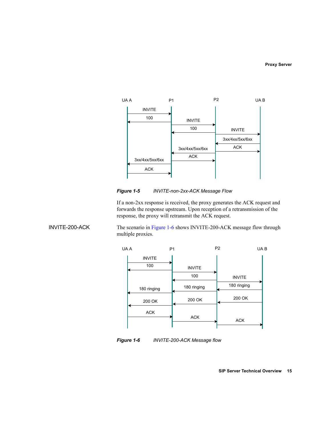

### *Figure 1-5 INVITE-non-2xx-ACK Message Flow*

If a non-2xx response is received, the proxy generates the ACK request and forwards the response upstream. Upon reception of a retransmission of the response, the proxy will retransmit the ACK request.

INVITE-200-ACK The scenario in Figure 1-6 shows INVITE-200-ACK message flow through multiple proxies.



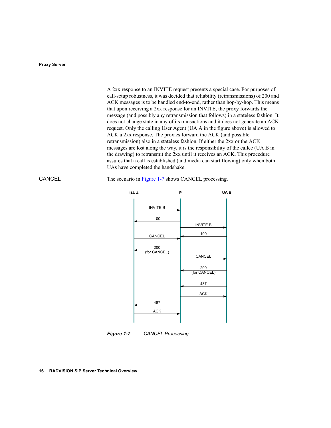A 2xx response to an INVITE request presents a special case. For purposes of call-setup robustness, it was decided that reliability (retransmissions) of 200 and ACK messages is to be handled end-to-end, rather than hop-by-hop. This means that upon receiving a 2xx response for an INVITE, the proxy forwards the message (and possibly any retransmission that follows) in a stateless fashion. It does not change state in any of its transactions and it does not generate an ACK request. Only the calling User Agent (UA A in the figure above) is allowed to ACK a 2xx response. The proxies forward the ACK (and possible retransmission) also in a stateless fashion. If either the 2xx or the ACK messages are lost along the way, it is the responsibility of the callee (UA B in the drawing) to retransmit the 2xx until it receives an ACK. This procedure assures that a call is established (and media can start flowing) only when both UAs have completed the handshake.



CANCEL The scenario in Figure 1-7 shows CANCEL processing.



*Figure 1-7 CANCEL Processing*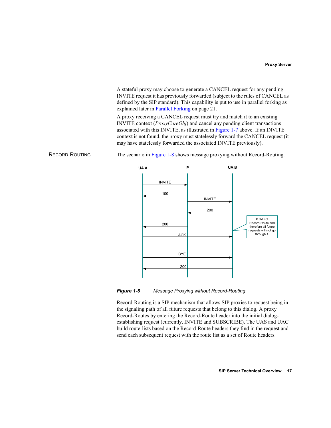A stateful proxy may choose to generate a CANCEL request for any pending INVITE request it has previously forwarded (subject to the rules of CANCEL as defined by the SIP standard). This capability is put to use in parallel forking as explained later in [Parallel Forking on page 21.](#page-24-0)

A proxy receiving a CANCEL request must try and match it to an existing INVITE context (*ProxyCoreObj*) and cancel any pending client transactions associated with this INVITE, as illustrated in Figure 1-7 above. If an INVITE context is not found, the proxy must statelessly forward the CANCEL request (it may have statelessly forwarded the associated INVITE previously).

RECORD-ROUTING The scenario in Figure 1-8 shows message proxying without Record-Routing.



*Figure 1-8 Message Proxying without Record-Routing*

Record-Routing is a SIP mechanism that allows SIP proxies to request being in the signaling path of all future requests that belong to this dialog. A proxy Record-Routes by entering the Record-Route header into the initial dialogestablishing request (currently, INVITE and SUBSCRIBE). The UAS and UAC build route-lists based on the Record-Route headers they find in the request and send each subsequent request with the route list as a set of Route headers.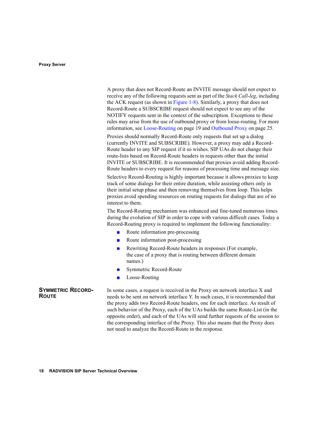A proxy that does not Record-Route an INVITE message should not expect to receive any of the following requests sent as part of the *Stack Call-leg*, including the ACK request (as shown in Figure 1-8). Similarly, a proxy that does not Record-Route a SUBSCRIBE request should not expect to see any of the NOTIFY requests sent in the context of the subscription. Exceptions to these rules may arise from the use of outbound proxy or from loose-routing. For more information, see [Loose-Routing on page 19](#page-22-0) and [Outbound Proxy on page 25.](#page-28-1)

Proxies should normally Record-Route only requests that set up a dialog (currently INVITE and SUBSCRIBE). However, a proxy may add a Record-Route header to any SIP request if it so wishes. SIP UAs do not change their route-lists based on Record-Route headers in requests other than the initial INVITE or SUBSCRIBE. It is recommended that proxies avoid adding Record-Route headers to every request for reasons of processing time and message size.

Selective Record-Routing is highly important because it allows proxies to keep track of some dialogs for their entire duration, while assisting others only in their initial setup phase and then removing themselves from loop. This helps proxies avoid spending resources on routing requests for dialogs that are of no interest to them.

The Record-Routing mechanism was enhanced and fine-tuned numerous times during the evolution of SIP in order to cope with various difficult cases. Today a Record-Routing proxy is required to implement the following functionality:

- Route information pre-processing
- Route information post-processing
- **Rewriting Record-Route headers in responses (For example,** the case of a proxy that is routing between different domain names.)
- Symmetric Record-Route
- **Loose-Routing**

## <span id="page-21-0"></span>**SYMMETRIC RECORD- ROUTE**

In some cases, a request is received in the Proxy on network interface X and needs to be sent on network interface Y. In such cases, it is recommended that the proxy adds two Record-Route headers, one for each interface. As result of such behavior of the Proxy, each of the UAs builds the same Route-List (in the opposite order), and each of the UAs will send further requests of the session to the corresponding interface of the Proxy. This also means that the Proxy does not need to analyze the Record-Route in the response.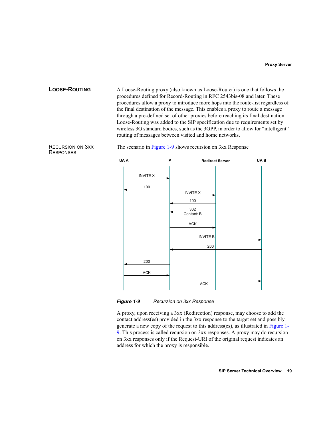<span id="page-22-0"></span>**LOOSE-ROUTING** A Loose-Routing proxy (also known as Loose-Router) is one that follows the procedures defined for Record-Routing in RFC 2543bis-08 and later. These procedures allow a proxy to introduce more hops into the route-list regardless of the final destination of the message. This enables a proxy to route a message through a pre-defined set of other proxies before reaching its final destination. Loose-Routing was added to the SIP specification due to requirements set by wireless 3G standard bodies, such as the 3GPP, in order to allow for "intelligent" routing of messages between visited and home networks.

RECURSION ON 3XX **RESPONSES** 

The scenario in Figure 1-9 shows recursion on 3xx Response



*Figure 1-9 Recursion on 3xx Response*

A proxy, upon receiving a 3xx (Redirection) response, may choose to add the contact address(es) provided in the 3xx response to the target set and possibly generate a new copy of the request to this address(es), as illustrated in Figure 1- 9. This process is called recursion on 3xx responses. A proxy may do recursion on 3xx responses only if the Request-URI of the original request indicates an address for which the proxy is responsible.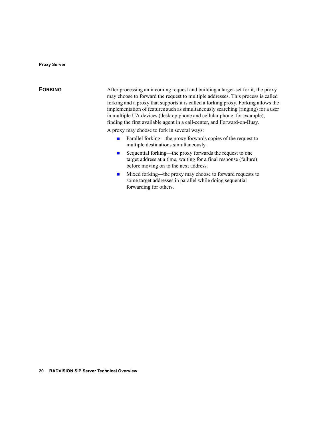<span id="page-23-0"></span>**FORKING** After processing an incoming request and building a target-set for it, the proxy may choose to forward the request to multiple addresses. This process is called forking and a proxy that supports it is called a forking proxy. Forking allows the implementation of features such as simultaneously searching (ringing) for a user in multiple UA devices (desktop phone and cellular phone, for example), finding the first available agent in a call-center, and Forward-on-Busy.

A proxy may choose to fork in several ways:

- **Parallel forking—the proxy forwards copies of the request to** multiple destinations simultaneously.
- Sequential forking—the proxy forwards the request to one target address at a time, waiting for a final response (failure) before moving on to the next address.
- Mixed forking—the proxy may choose to forward requests to some target addresses in parallel while doing sequential forwarding for others.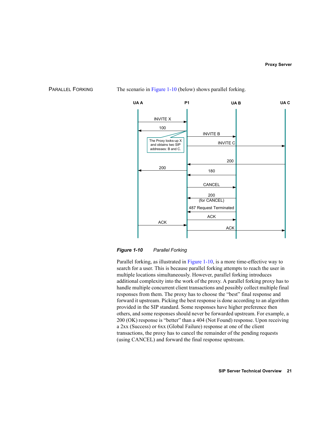<span id="page-24-0"></span>PARALLEL FORKING The scenario in Figure 1-10 (below) shows parallel forking.





Parallel forking, as illustrated in Figure 1-10, is a more time-effective way to search for a user. This is because parallel forking attempts to reach the user in multiple locations simultaneously. However, parallel forking introduces additional complexity into the work of the proxy. A parallel forking proxy has to handle multiple concurrent client transactions and possibly collect multiple final responses from them. The proxy has to choose the "best" final response and forward it upstream. Picking the best response is done according to an algorithm provided in the SIP standard. Some responses have higher preference then others, and some responses should never be forwarded upstream. For example, a 200 (OK) response is "better" than a 404 (Not Found) response. Upon receiving a 2xx (Success) or 6xx (Global Failure) response at one of the client transactions, the proxy has to cancel the remainder of the pending requests (using CANCEL) and forward the final response upstream.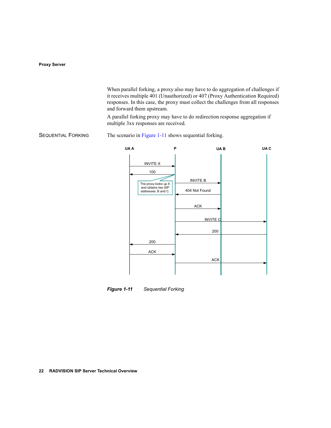When parallel forking, a proxy also may have to do aggregation of challenges if it receives multiple 401 (Unauthorized) or 407 (Proxy Authentication Required) responses. In this case, the proxy must collect the challenges from all responses and forward them upstream.

A parallel forking proxy may have to do redirection response aggregation if multiple 3xx responses are received.

SEQUENTIAL FORKING The scenario in Figure 1-11 shows sequential forking.



*Figure 1-11 Sequential Forking*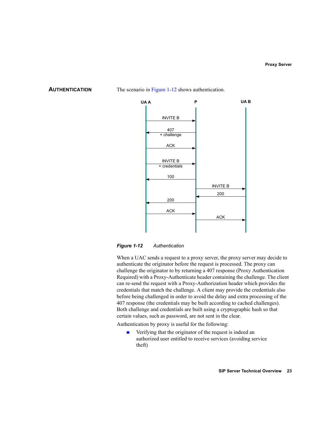<span id="page-26-0"></span>**AUTHENTICATION** The scenario in Figure 1-12 shows authentication.





When a UAC sends a request to a proxy server, the proxy server may decide to authenticate the originator before the request is processed. The proxy can challenge the originator to by returning a 407 response (Proxy Authentication Required) with a Proxy-Authenticate header containing the challenge. The client can re-send the request with a Proxy-Authorization header which provides the credentials that match the challenge. A client may provide the credentials also before being challenged in order to avoid the delay and extra processing of the 407 response (the credentials may be built according to cached challenges). Both challenge and credentials are built using a cryptographic hash so that certain values, such as password, are not sent in the clear.

Authentication by proxy is useful for the following:

**•** Verifying that the originator of the request is indeed an authorized user entitled to receive services (avoiding service theft)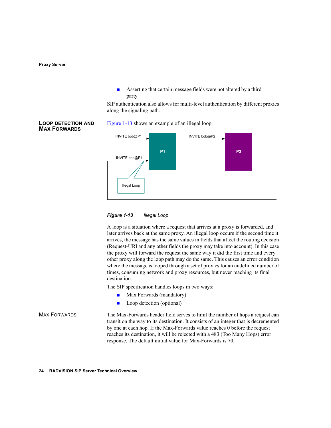**Asserting that certain message fields were not altered by a third** party

SIP authentication also allows for multi-level authentication by different proxies along the signaling path.

### <span id="page-27-0"></span>**LOOP DETECTION AND MAX FORWARDS**





### *Figure 1-13 Illegal Loop*

A loop is a situation where a request that arrives at a proxy is forwarded, and later arrives back at the same proxy. An illegal loop occurs if the second time it arrives, the message has the same values in fields that affect the routing decision (Request-URI and any other fields the proxy may take into account). In this case the proxy will forward the request the same way it did the first time and every other proxy along the loop path may do the same. This causes an error condition where the message is looped through a set of proxies for an undefined number of times, consuming network and proxy resources, but never reaching its final destination.

The SIP specification handles loops in two ways:

- **Max Forwards (mandatory)**
- **Loop detection (optional)**

MAX FORWARDS The Max-Forwards header field serves to limit the number of hops a request can transit on the way to its destination. It consists of an integer that is decremented by one at each hop. If the Max-Forwards value reaches 0 before the request reaches its destination, it will be rejected with a 483 (Too Many Hops) error response. The default initial value for Max-Forwards is 70.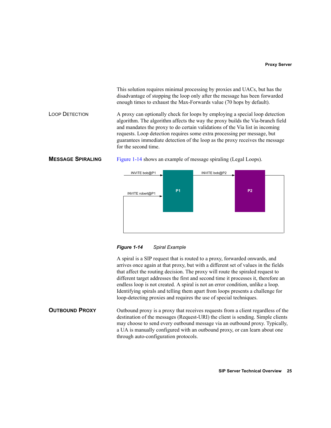This solution requires minimal processing by proxies and UACs, but has the disadvantage of stopping the loop only after the message has been forwarded enough times to exhaust the Max-Forwards value (70 hops by default).

LOOP DETECTION A proxy can optionally check for loops by employing a special loop detection algorithm. The algorithm affects the way the proxy builds the Via-branch field and mandates the proxy to do certain validations of the Via list in incoming requests. Loop detection requires some extra processing per message, but guarantees immediate detection of the loop as the proxy receives the message for the second time.

<span id="page-28-0"></span>**MESSAGE SPIRALING** Figure 1-14 shows an example of message spiraling (Legal Loops).



### *Figure 1-14 Spiral Example*

A spiral is a SIP request that is routed to a proxy, forwarded onwards, and arrives once again at that proxy, but with a different set of values in the fields that affect the routing decision. The proxy will route the spiraled request to different target addresses the first and second time it processes it, therefore an endless loop is not created. A spiral is not an error condition, unlike a loop. Identifying spirals and telling them apart from loops presents a challenge for loop-detecting proxies and requires the use of special techniques.

<span id="page-28-1"></span>**OUTBOUND PROXY** Outbound proxy is a proxy that receives requests from a client regardless of the destination of the messages (Request-URI) the client is sending. Simple clients may choose to send every outbound message via an outbound proxy. Typically, a UA is manually configured with an outbound proxy, or can learn about one through auto-configuration protocols.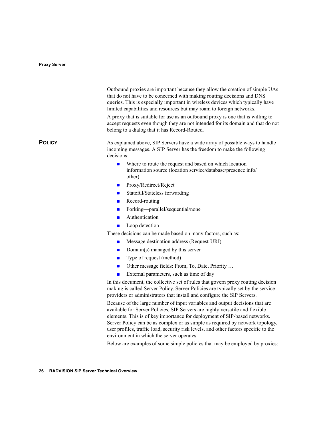<span id="page-29-0"></span>

|               | Outbound proxies are important because they allow the creation of simple UAs<br>that do not have to be concerned with making routing decisions and DNS<br>queries. This is especially important in wireless devices which typically have<br>limited capabilities and resources but may roam to foreign networks.<br>A proxy that is suitable for use as an outbound proxy is one that is willing to<br>accept requests even though they are not intended for its domain and that do not<br>belong to a dialog that it has Record-Routed. |
|---------------|------------------------------------------------------------------------------------------------------------------------------------------------------------------------------------------------------------------------------------------------------------------------------------------------------------------------------------------------------------------------------------------------------------------------------------------------------------------------------------------------------------------------------------------|
| <b>POLICY</b> | As explained above, SIP Servers have a wide array of possible ways to handle<br>incoming messages. A SIP Server has the freedom to make the following<br>decisions:                                                                                                                                                                                                                                                                                                                                                                      |
|               | Where to route the request and based on which location<br>$\blacksquare$<br>information source (location service/database/presence info/<br>other)                                                                                                                                                                                                                                                                                                                                                                                       |
|               | Proxy/Redirect/Reject<br>$\blacksquare$                                                                                                                                                                                                                                                                                                                                                                                                                                                                                                  |
|               | Stateful/Stateless forwarding<br>$\blacksquare$                                                                                                                                                                                                                                                                                                                                                                                                                                                                                          |
|               | Record-routing<br>$\blacksquare$                                                                                                                                                                                                                                                                                                                                                                                                                                                                                                         |
|               | Forking-parallel/sequential/none<br>$\blacksquare$                                                                                                                                                                                                                                                                                                                                                                                                                                                                                       |
|               | Authentication                                                                                                                                                                                                                                                                                                                                                                                                                                                                                                                           |
|               | Loop detection                                                                                                                                                                                                                                                                                                                                                                                                                                                                                                                           |
|               | These decisions can be made based on many factors, such as:                                                                                                                                                                                                                                                                                                                                                                                                                                                                              |
|               | Message destination address (Request-URI)<br>$\blacksquare$                                                                                                                                                                                                                                                                                                                                                                                                                                                                              |
|               | Domain(s) managed by this server<br>$\blacksquare$                                                                                                                                                                                                                                                                                                                                                                                                                                                                                       |
|               | Type of request (method)<br>$\blacksquare$                                                                                                                                                                                                                                                                                                                                                                                                                                                                                               |
|               | Other message fields: From, To, Date, Priority                                                                                                                                                                                                                                                                                                                                                                                                                                                                                           |
|               | External parameters, such as time of day                                                                                                                                                                                                                                                                                                                                                                                                                                                                                                 |
|               | In this document, the collective set of rules that govern proxy routing decision<br>making is called Server Policy. Server Policies are typically set by the service<br>providers or administrators that install and configure the SIP Servers.                                                                                                                                                                                                                                                                                          |
|               | Because of the large number of input variables and output decisions that are<br>available for Server Policies, SIP Servers are highly versatile and flexible<br>elements. This is of key importance for deployment of SIP-based networks.<br>Server Policy can be as complex or as simple as required by network topology,<br>user profiles, traffic load, security risk levels, and other factors specific to the<br>environment in which the server operates.                                                                          |

Below are examples of some simple policies that may be employed by proxies: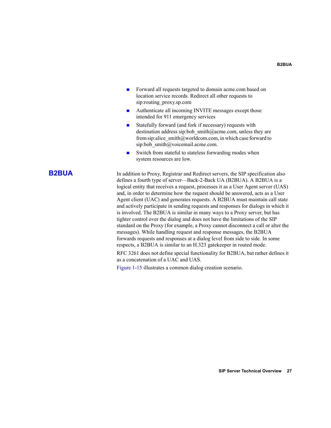- **Forward all requests targeted to domain acme.com based on** location service records. Redirect all other requests to sip:routing\_proxy.sp.com
- Authenticate all incoming INVITE messages except those intended for 911 emergency services
- Statefully forward (and fork if necessary) requests with destination address sip:bob  $\sinth(\omega_a)$  same.com, unless they are from sip:alice\_smith@worldcom.com, in which case forward to sip:bob\_smith@voicemail.acme.com.
- Switch from stateful to stateless forwarding modes when system resources are low.

<span id="page-30-0"></span>**B2BUA** In addition to Proxy, Registrar and Redirect servers, the SIP specification also defines a fourth type of server—Back-2-Back UA (B2BUA). A B2BUA is a logical entity that receives a request, processes it as a User Agent server (UAS) and, in order to determine how the request should be answered, acts as a User Agent client (UAC) and generates requests. A B2BUA must maintain call state and actively participate in sending requests and responses for dialogs in which it is involved. The B2BUA is similar in many ways to a Proxy server, but has tighter control over the dialog and does not have the limitations of the SIP standard on the Proxy (for example, a Proxy cannot disconnect a call or alter the messages). While handling request and response messages, the B2BUA forwards requests and responses at a dialog level from side to side. In some respects, a B2BUA is similar to an H.323 gatekeeper in routed mode.

> RFC 3261 does not define special functionality for B2BUA, but rather defines it as a concatenation of a UAC and UAS.

Figure 1-15 illustrates a common dialog creation scenario.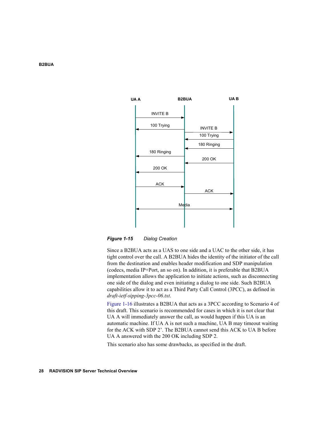

*Figure 1-15 Dialog Creation*

Since a B2BUA acts as a UAS to one side and a UAC to the other side, it has tight control over the call. A B2BUA hides the identity of the initiator of the call from the destination and enables header modification and SDP manipulation (codecs, media IP+Port, an so on). In addition, it is preferable that B2BUA implementation allows the application to initiate actions, such as disconnecting one side of the dialog and even initiating a dialog to one side. Such B2BUA capabilities allow it to act as a Third Party Call Control (3PCC), as defined in *draft-ietf-sipping-3pcc-06.txt*.

[Figure 1-16](#page-32-0) illustrates a B2BUA that acts as a 3PCC according to Scenario 4 of this draft. This scenario is recommended for cases in which it is not clear that UA A will immediately answer the call, as would happen if this UA is an automatic machine. If UA A is not such a machine, UA B may timeout waiting for the ACK with SDP 2'. The B2BUA cannot send this ACK to UA B before UA A answered with the 200 OK including SDP 2.

This scenario also has some drawbacks, as specified in the draft.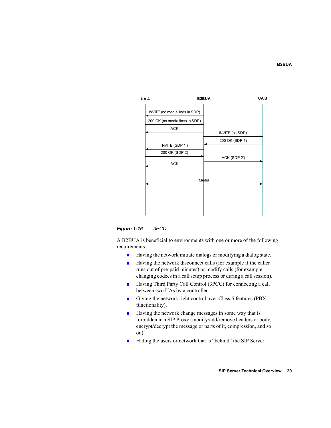

### <span id="page-32-0"></span>*Figure 1-16 3PCC*

A B2BUA is beneficial to environments with one or more of the following requirements:

- Having the network initiate dialogs or modifying a dialog state.
- $\blacksquare$  Having the network disconnect calls (for example if the caller runs out of pre-paid minutes) or modify calls (for example changing codecs in a call setup process or during a call session).
- Having Third Party Call Control (3PCC) for connecting a call between two UAs by a controller.
- Giving the network tight control over Class 5 features (PBX functionality).
- **Having the network change messages in some way that is** forbidden in a SIP Proxy (modify/add/remove headers or body, encrypt/decrypt the message or parts of it, compression, and so on).
- **Hiding the users or network that is "behind" the SIP Server.**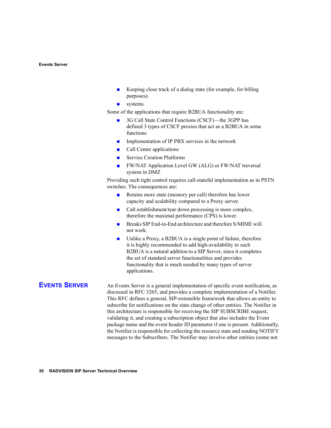- Keeping close track of a dialog state (for example, for billing purposes).
- systems.

Some of the applications that require B2BUA functionality are:

- 3G Call State Control Functions (CSCF)—the 3GPP has defined 3 types of CSCF proxies that act as a B2BUA in some functions
- **IMPLEMENTER IMPLEMENT IN THE IMPLEMENT IMPLEMENT IMPLICATION**
- $\blacksquare$  Call Center applications
- Service Creation Platforms
- **FW/NAT Application Level GW (ALG) or FW/NAT traversal** system in DMZ

Providing such tight control requires call-stateful implementation as in PSTN switches. The consequences are:

- Retains more state (memory per call) therefore has lower capacity and scalability compared to a Proxy server.
- Call establishment/tear down processing is more complex, therefore the maximal performance (CPS) is lower.
- **Breaks SIP End-to-End architecture and therefore S/MIME will** not work.
- Unlike a Proxy, a B2BUA is a single point of failure, therefore it is highly recommended to add high-availability to such B2BUA is a natural addition to a SIP Server, since it completes the set of standard server functionalities and provides functionality that is much needed by many types of server applications.

<span id="page-33-0"></span>**EVENTS SERVER** An Events Server is a general implementation of specific event notification, as discussed in RFC 3265, and provides a complete implementation of a Notifier. This RFC defines a general, SIP-extensible framework that allows an entity to subscribe for notifications on the state change of other entities. The Notifier in this architecture is responsible for receiving the SIP SUBSCRIBE request, validating it, and creating a subscription object that also includes the Event package name and the event header ID parameter if one is present. Additionally, the Notifier is responsible for collecting the resource state and sending NOTIFY messages to the Subscribers. The Notifier may involve other entities (some not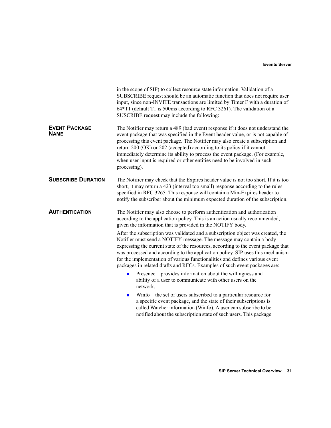<span id="page-34-2"></span><span id="page-34-1"></span><span id="page-34-0"></span>

|                                     | in the scope of SIP) to collect resource state information. Validation of a<br>SUBSCRIBE request should be an automatic function that does not require user<br>input, since non-INVITE transactions are limited by Timer F with a duration of<br>64*T1 (default T1 is 500ms according to RFC 3261). The validation of a<br>SUSCRIBE request may include the following:                                                                                                                                         |  |  |
|-------------------------------------|----------------------------------------------------------------------------------------------------------------------------------------------------------------------------------------------------------------------------------------------------------------------------------------------------------------------------------------------------------------------------------------------------------------------------------------------------------------------------------------------------------------|--|--|
| <b>EVENT PACKAGE</b><br><b>NAME</b> | The Notifier may return a 489 (bad event) response if it does not understand the<br>event package that was specified in the Event header value, or is not capable of<br>processing this event package. The Notifier may also create a subscription and<br>return 200 (OK) or 202 (accepted) according to its policy if it cannot<br>immediately determine its ability to process the event package. (For example,<br>when user input is required or other entities need to be involved in such<br>processing). |  |  |
| <b>SUBSCRIBE DURATION</b>           | The Notifier may check that the Expires header value is not too short. If it is too<br>short, it may return a 423 (interval too small) response according to the rules<br>specified in RFC 3265. This response will contain a Min-Expires header to<br>notify the subscriber about the minimum expected duration of the subscription.                                                                                                                                                                          |  |  |
| <b>AUTHENTICATION</b>               | The Notifier may also choose to perform authentication and authorization<br>according to the application policy. This is an action usually recommended,<br>given the information that is provided in the NOTIFY body.                                                                                                                                                                                                                                                                                          |  |  |
|                                     | After the subscription was validated and a subscription object was created, the<br>Notifier must send a NOTIFY message. The message may contain a body<br>expressing the current state of the resources, according to the event package that<br>was processed and according to the application policy. SIP uses this mechanism<br>for the implementation of various functionalities and defines various event<br>packages in related drafts and RFCs. Examples of such event packages are:                     |  |  |
|                                     | Presence—provides information about the willingness and<br>ability of a user to communicate with other users on the<br>network.                                                                                                                                                                                                                                                                                                                                                                                |  |  |
|                                     | Winfo-the set of users subscribed to a particular resource for<br>$\blacksquare$<br>a specific event package, and the state of their subscriptions is<br>called Watcher information (Winfo). A user can subscribe to be<br>notified about the subscription state of such users. This package                                                                                                                                                                                                                   |  |  |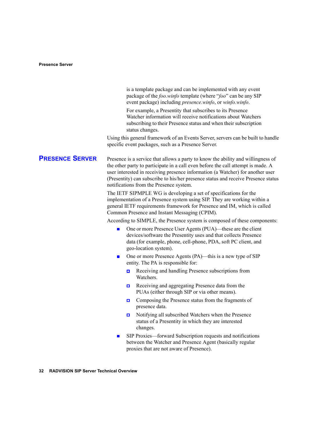<span id="page-35-0"></span>

|                        |                | is a template package and can be implemented with any event<br>package of the foo.winfo template (where "foo" can be any SIP<br>event package) including presence.winfo, or winfo.winfo.<br>For example, a Presentity that subscribes to its Presence<br>Watcher information will receive notifications about Watchers<br>subscribing to their Presence status and when their subscription<br>status changes. |
|------------------------|----------------|---------------------------------------------------------------------------------------------------------------------------------------------------------------------------------------------------------------------------------------------------------------------------------------------------------------------------------------------------------------------------------------------------------------|
|                        |                | Using this general framework of an Events Server, servers can be built to handle<br>specific event packages, such as a Presence Server.                                                                                                                                                                                                                                                                       |
| <b>PRESENCE SERVER</b> |                | Presence is a service that allows a party to know the ability and willingness of<br>the other party to participate in a call even before the call attempt is made. A<br>user interested in receiving presence information (a Watcher) for another user<br>(Presentity) can subscribe to his/her presence status and receive Presence status<br>notifications from the Presence system.                        |
|                        |                | The IETF SIPMPLE WG is developing a set of specifications for the<br>implementation of a Presence system using SIP. They are working within a<br>general IETF requirements framework for Presence and IM, which is called<br>Common Presence and Instant Messaging (CPIM).                                                                                                                                    |
|                        |                | According to SIMPLE, the Presence system is composed of these components:                                                                                                                                                                                                                                                                                                                                     |
|                        | $\blacksquare$ | One or more Presence User Agents (PUA)—these are the client<br>devices/software the Presentity uses and that collects Presence<br>data (for example, phone, cell-phone, PDA, soft PC client, and<br>geo-location system).                                                                                                                                                                                     |
|                        | $\blacksquare$ | One or more Presence Agents (PA)—this is a new type of SIP<br>entity. The PA is responsible for:                                                                                                                                                                                                                                                                                                              |
|                        |                | Receiving and handling Presence subscriptions from<br>o<br>Watchers.                                                                                                                                                                                                                                                                                                                                          |
|                        |                | Receiving and aggregating Presence data from the<br>o<br>PUAs (either through SIP or via other means).                                                                                                                                                                                                                                                                                                        |
|                        |                | Composing the Presence status from the fragments of<br>o<br>presence data.                                                                                                                                                                                                                                                                                                                                    |
|                        |                | Notifying all subscribed Watchers when the Presence<br>o<br>status of a Presentity in which they are interested<br>changes.                                                                                                                                                                                                                                                                                   |
|                        | $\blacksquare$ | SIP Proxies—forward Subscription requests and notifications<br>between the Watcher and Presence Agent (basically regular<br>proxies that are not aware of Presence).                                                                                                                                                                                                                                          |
|                        |                |                                                                                                                                                                                                                                                                                                                                                                                                               |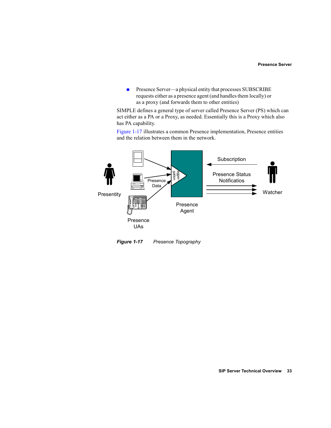**Presence Server—a physical entity that processes SUBSCRIBE** requests either as a presence agent (and handles them locally) or as a proxy (and forwards them to other entities)

SIMPLE defines a general type of server called Presence Server (PS) which can act either as a PA or a Proxy, as needed. Essentially this is a Proxy which also has PA capability.

Figure 1-17 illustrates a common Presence implementation, Presence entities and the relation between them in the network.



*Figure 1-17 Presence Topography*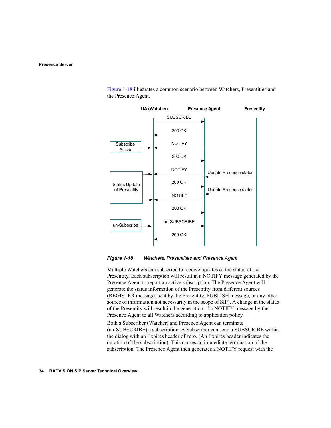**SUBSCRIBE** 200 OK NOTIFY 200 OK Update Presence status 200 OK NOTIFY Update Presence status NOTIFY 200 OK un-SUBSCRIBE 200 OK Status Update of Presentity un-Subscribe **Subscribe** Active UA (Watcher) **Presence Agent** Presentity

Figure 1-18 illustrates a common scenario between Watchers, Presentities and the Presence Agent.

### *Figure 1-18 Watchers, Presentities and Presence Agent*

Multiple Watchers can subscribe to receive updates of the status of the Presentity. Each subscription will result in a NOTIFY message generated by the Presence Agent to report an active subscription. The Presence Agent will generate the status information of the Presentity from different sources (REGISTER messages sent by the Presentity, PUBLISH message, or any other source of information not necessarily in the scope of SIP). A change in the status of the Presentity will result in the generation of a NOTIFY message by the Presence Agent to all Watchers according to application policy.

Both a Subscriber (Watcher) and Presence Agent can terminate (un-SUBSCRIBE) a subscription. A Subscriber can send a SUBSCRIBE within the dialog with an Expires header of zero. (An Expires header indicates the duration of the subscription). This causes an immediate termination of the subscription. The Presence Agent then generates a NOTIFY request with the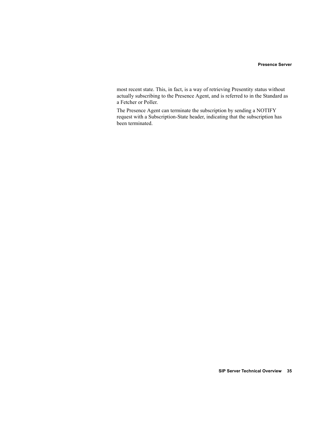most recent state. This, in fact, is a way of retrieving Presentity status without actually subscribing to the Presence Agent, and is referred to in the Standard as a Fetcher or Poller.

The Presence Agent can terminate the subscription by sending a NOTIFY request with a Subscription-State header, indicating that the subscription has been terminated.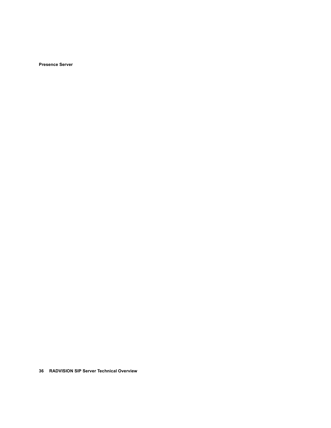**Presence Server**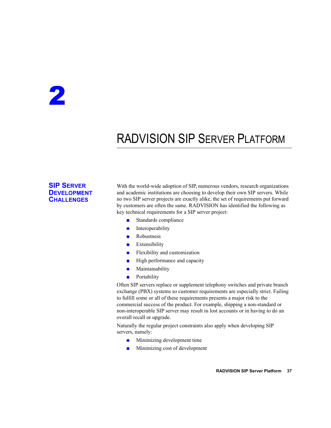<span id="page-40-0"></span>2

## <span id="page-40-1"></span>RADVISION SIP SERVER PLATFORM

### <span id="page-40-2"></span>**SIP SERVER DEVELOPMENT CHALLENGES**

With the world-wide adoption of SIP, numerous vendors, research organizations and academic institutions are choosing to develop their own SIP servers. While no two SIP server projects are exactly alike, the set of requirements put forward by customers are often the same. RADVISION has identified the following as key technical requirements for a SIP server project:

- **Standards compliance**
- $\blacksquare$  Interoperability
- **Robustness**
- **Extensibility**
- **Flexibility and customization**
- $\blacksquare$  High performance and capacity
- **Maintainability**
- **Portability**

Often SIP servers replace or supplement telephony switches and private branch exchange (PBX) systems so customer requirements are especially strict. Failing to fulfill some or all of these requirements presents a major risk to the commercial success of the product. For example, shipping a non-standard or non-interoperable SIP server may result in lost accounts or in having to do an overall recall or upgrade.

Naturally the regular project constraints also apply when developing SIP servers, namely:

- **Minimizing development time**
- **Minimizing cost of development**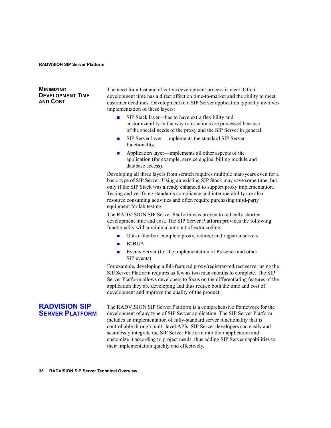### <span id="page-41-0"></span>**MINIMIZING DEVELOPMENT TIME AND COST**

The need for a fast and effective development process is clear. Often development time has a direct affect on time-to-market and the ability to meet customer deadlines. Development of a SIP Server application typically involves implementation of these layers:

- **SIP** Stack layer—has to have extra flexibility and customizability in the way transactions are processed because of the special needs of the proxy and the SIP Server in general.
- SIP Server layer—implements the standard SIP Server functionality.
- **Application layer—implements all other aspects of the** application (for example, service engine, billing module and database access).

Developing all three layers from scratch requires multiple man-years even for a basic type of SIP Server. Using an existing SIP Stack may save some time, but only if the SIP Stack was already enhanced to support proxy implementation. Testing and verifying standards compliance and interoperability are also resource consuming activities and often require purchasing third-party equipment for lab testing.

The RADVISION SIP Server Platform was proven to radically shorten development time and cost. The SIP Server Platform provides the following functionality with a minimal amount of extra coding:

- Out-of-the-box complete proxy, redirect and registrar servers
- $B2BUA$
- **Events Server (for the implementation of Presence and other** SIP events)

For example, developing a full-featured proxy/registrar/redirect server using the SIP Server Platform requires as few as two man-months to complete. The SIP Server Platform allows developers to focus on the differentiating features of the application they are developing and thus reduce both the time and cost of development and improve the quality of the product.

### <span id="page-41-1"></span>**RADVISION SIP SERVER PLATEORM**

The RADVISION SIP Server Platform is a comprehensive framework for the development of any type of SIP Server application. The SIP Server Platform includes an implementation of fully-standard server functionality that is controllable through multi-level APIs. SIP Server developers can easily and seamlessly integrate the SIP Server Platform into their application and customize it according to project needs, thus adding SIP Server capabilities to their implementation quickly and effectively.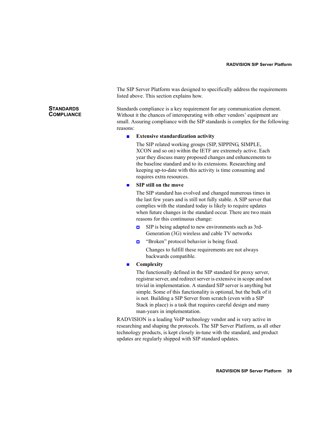The SIP Server Platform was designed to specifically address the requirements listed above. This section explains how.

<span id="page-42-0"></span>**STANDARDS COMPLIANCE** Standards compliance is a key requirement for any communication element. Without it the chances of interoperating with other vendors' equipment are small. Assuring compliance with the SIP standards is complex for the following reasons:

### **Extensive standardization activity**

The SIP related working groups (SIP, SIPPING, SIMPLE, XCON and so on) within the IETF are extremely active. Each year they discuss many proposed changes and enhancements to the baseline standard and to its extensions. Researching and keeping up-to-date with this activity is time consuming and requires extra resources.

### **SIP still on the move**

The SIP standard has evolved and changed numerous times in the last few years and is still not fully stable. A SIP server that complies with the standard today is likely to require updates when future changes in the standard occur. There are two main reasons for this continuous change:

- - SIP is being adapted to new environments such as 3rd-Generation (3G) wireless and cable TV networks
- $\Box$  "Broken" protocol behavior is being fixed.

Changes to fulfill these requirements are not always backwards compatible.

### **Complexity**

The functionally defined in the SIP standard for proxy server, registrar server, and redirect server is extensive in scope and not trivial in implementation. A standard SIP server is anything but simple. Some of this functionality is optional, but the bulk of it is not. Building a SIP Server from scratch (even with a SIP Stack in place) is a task that requires careful design and many man-years in implementation.

RADVISION is a leading VoIP technology vendor and is very active in researching and shaping the protocols. The SIP Server Platform, as all other technology products, is kept closely in-tune with the standard, and product updates are regularly shipped with SIP standard updates.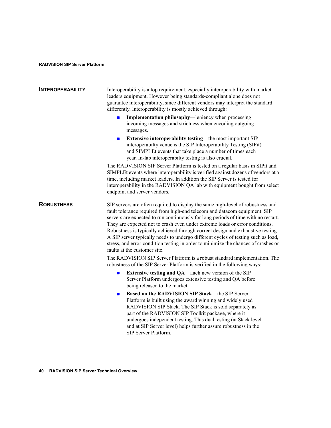<span id="page-43-0"></span>**INTEROPERABILITY** Interoperability is a top requirement, especially interoperability with market leaders equipment. However being standards-compliant alone does not guarantee interoperability, since different vendors may interpret the standard differently. Interoperability is mostly achieved through:

- **Implementation philosophy—leniency when processing** incoming messages and strictness when encoding outgoing messages.
- **Extensive interoperability testing—the most important SIP** interoperabilty venue is the SIP Interoperability Testing (SIPit) and SIMPLEt events that take place a number of times each year. In-lab interoperabilty testing is also crucial.

The RADVISION SIP Server Platform is tested on a regular basis in SIPit and SIMPLEt events where interoperability is verified against dozens of vendors at a time, including market leaders. In addition the SIP Server is tested for interoperability in the RADVISION QA lab with equipment bought from select endpoint and server vendors.

<span id="page-43-1"></span>**ROBUSTNESS** SIP servers are often required to display the same high-level of robustness and fault tolerance required from high-end telecom and datacom equipment. SIP servers are expected to run continuously for long periods of time with no restart. They are expected not to crash even under extreme loads or error conditions. Robustness is typically achieved through correct design and exhaustive testing. A SIP server typically needs to undergo different cycles of testing such as load, stress, and error-condition testing in order to minimize the chances of crashes or faults at the customer site.

> The RADVISION SIP Server Platform is a robust standard implementation. The robustness of the SIP Server Platform is verified in the following ways:

- **Extensive testing and OA—Each new version of the SIP** Server Platform undergoes extensive testing and QA before being released to the market.
- **Based on the RADVISION SIP Stack—the SIP Server** Platform is built using the award winning and widely used RADVISION SIP Stack. The SIP Stack is sold separately as part of the RADVISION SIP Toolkit package, where it undergoes independent testing. This dual testing (at Stack level and at SIP Server level) helps further assure robustness in the SIP Server Platform.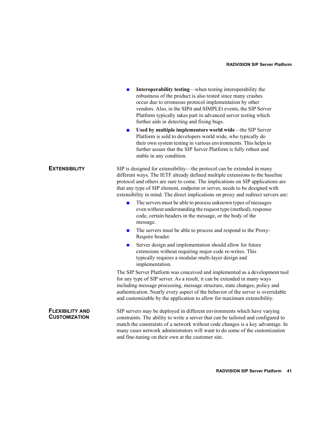<span id="page-44-1"></span><span id="page-44-0"></span>

|                                                | Interoperability testing—when testing interoperability the<br>$\blacksquare$<br>robustness of the product is also tested since many crashes<br>occur due to erroneous protocol implementation by other<br>vendors. Also, in the SIPit and SIMPLEt events, the SIP Server<br>Platform typically takes part in advanced server testing which<br>further aids in detecting and fixing bugs.<br>Used by multiple implementors world wide—the SIP Server<br>$\blacksquare$<br>Platform is sold to developers world wide, who typically do<br>their own system testing in various environments. This helps to<br>further assure that the SIP Server Platform is fully robust and<br>stable in any condition. |
|------------------------------------------------|--------------------------------------------------------------------------------------------------------------------------------------------------------------------------------------------------------------------------------------------------------------------------------------------------------------------------------------------------------------------------------------------------------------------------------------------------------------------------------------------------------------------------------------------------------------------------------------------------------------------------------------------------------------------------------------------------------|
| <b>EXTENSIBILITY</b>                           | SIP is designed for extensibility—the protocol can be extended in many<br>different ways. The IETF already defined multiple extensions to the baseline<br>protocol and others are sure to come. The implications on SIP applications are<br>that any type of SIP element, endpoint or server, needs to be designed with<br>extensibility in mind. The direct implications on proxy and redirect servers are:                                                                                                                                                                                                                                                                                           |
|                                                | The servers must be able to process unknown types of messages<br>$\blacksquare$<br>even without understanding the request type (method), response<br>code, certain headers in the message, or the body of the<br>message.                                                                                                                                                                                                                                                                                                                                                                                                                                                                              |
|                                                | The servers must be able to process and respond to the Proxy-<br>$\blacksquare$<br>Require header.                                                                                                                                                                                                                                                                                                                                                                                                                                                                                                                                                                                                     |
|                                                | Server design and implementation should allow for future<br>$\blacksquare$<br>extensions without requiring major code re-writes. This<br>typically requires a modular multi-layer design and<br>implementation.                                                                                                                                                                                                                                                                                                                                                                                                                                                                                        |
|                                                | The SIP Server Platform was conceived and implemented as a development tool<br>for any type of SIP server. As a result, it can be extended in many ways<br>including message processing, message structure, state changes, policy and<br>authentication. Nearly every aspect of the behavior of the server is overridable<br>and customizable by the application to allow for maximum extensibility.                                                                                                                                                                                                                                                                                                   |
| <b>FLEXIBILITY AND</b><br><b>CUSTOMIZATION</b> | SIP servers may be deployed in different environments which have varying<br>constraints. The ability to write a server that can be tailored and configured to<br>match the constraints of a network without code changes is a key advantage. In<br>many cases network administrators will want to do some of the customization<br>and fine-tuning on their own at the customer site.                                                                                                                                                                                                                                                                                                                   |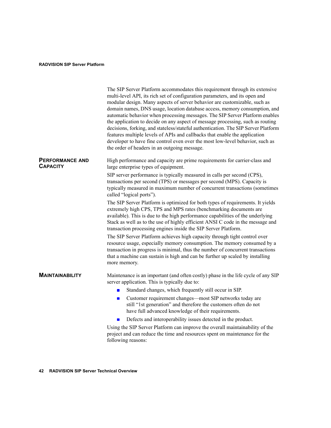<span id="page-45-1"></span><span id="page-45-0"></span>

|                                           | The SIP Server Platform accommodates this requirement through its extensive<br>multi-level API, its rich set of configuration parameters, and its open and<br>modular design. Many aspects of server behavior are customizable, such as<br>domain names, DNS usage, location database access, memory consumption, and<br>automatic behavior when processing messages. The SIP Server Platform enables<br>the application to decide on any aspect of message processing, such as routing<br>decisions, forking, and stateless/stateful authentication. The SIP Server Platform<br>features multiple levels of APIs and callbacks that enable the application<br>developer to have fine control even over the most low-level behavior, such as<br>the order of headers in an outgoing message. |
|-------------------------------------------|----------------------------------------------------------------------------------------------------------------------------------------------------------------------------------------------------------------------------------------------------------------------------------------------------------------------------------------------------------------------------------------------------------------------------------------------------------------------------------------------------------------------------------------------------------------------------------------------------------------------------------------------------------------------------------------------------------------------------------------------------------------------------------------------|
| <b>PERFORMANCE AND</b><br><b>CAPACITY</b> | High performance and capacity are prime requirements for carrier-class and<br>large enterprise types of equipment.                                                                                                                                                                                                                                                                                                                                                                                                                                                                                                                                                                                                                                                                           |
|                                           | SIP server performance is typically measured in calls per second (CPS),<br>transactions per second (TPS) or messages per second (MPS). Capacity is<br>typically measured in maximum number of concurrent transactions (sometimes<br>called "logical ports").                                                                                                                                                                                                                                                                                                                                                                                                                                                                                                                                 |
|                                           | The SIP Server Platform is optimized for both types of requirements. It yields<br>extremely high CPS, TPS and MPS rates (benchmarking documents are<br>available). This is due to the high performance capabilities of the underlying<br>Stack as well as to the use of highly efficient ANSI C code in the message and<br>transaction processing engines inside the SIP Server Platform.                                                                                                                                                                                                                                                                                                                                                                                                    |
|                                           | The SIP Server Platform achieves high capacity through tight control over<br>resource usage, especially memory consumption. The memory consumed by a<br>transaction in progress is minimal, thus the number of concurrent transactions<br>that a machine can sustain is high and can be further up scaled by installing<br>more memory.                                                                                                                                                                                                                                                                                                                                                                                                                                                      |
| <b>MAINTAINABILITY</b>                    | Maintenance is an important (and often costly) phase in the life cycle of any SIP<br>server application. This is typically due to:                                                                                                                                                                                                                                                                                                                                                                                                                                                                                                                                                                                                                                                           |
|                                           | Standard changes, which frequently still occur in SIP.<br>$\blacksquare$                                                                                                                                                                                                                                                                                                                                                                                                                                                                                                                                                                                                                                                                                                                     |
|                                           | Customer requirement changes—most SIP networks today are<br>$\blacksquare$<br>still "1st generation" and therefore the customers often do not<br>have full advanced knowledge of their requirements.                                                                                                                                                                                                                                                                                                                                                                                                                                                                                                                                                                                         |
|                                           | Defects and interoperability issues detected in the product.<br>$\blacksquare$                                                                                                                                                                                                                                                                                                                                                                                                                                                                                                                                                                                                                                                                                                               |
|                                           | Using the SIP Server Platform can improve the overall maintainability of the<br>project and can reduce the time and resources spent on maintenance for the<br>following reasons:                                                                                                                                                                                                                                                                                                                                                                                                                                                                                                                                                                                                             |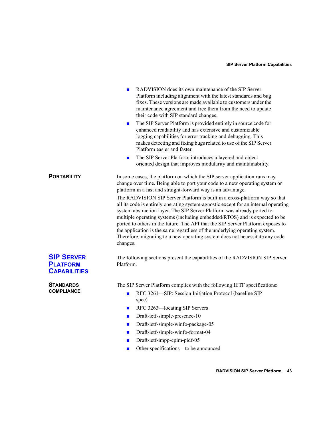<span id="page-46-0"></span>

| RADVISION does its own maintenance of the SIP Server<br>П<br>Platform including alignment with the latest standards and bug<br>fixes. These versions are made available to customers under the<br>maintenance agreement and free them from the need to update<br>their code with SIP standard changes.                                                                                                                                                                                                                                                                                  |
|-----------------------------------------------------------------------------------------------------------------------------------------------------------------------------------------------------------------------------------------------------------------------------------------------------------------------------------------------------------------------------------------------------------------------------------------------------------------------------------------------------------------------------------------------------------------------------------------|
| The SIP Server Platform is provided entirely in source code for<br>$\blacksquare$<br>enhanced readability and has extensive and customizable<br>logging capabilities for error tracking and debugging. This<br>makes detecting and fixing bugs related to use of the SIP Server<br>Platform easier and faster.                                                                                                                                                                                                                                                                          |
| The SIP Server Platform introduces a layered and object<br>$\blacksquare$<br>oriented design that improves modularity and maintainability.                                                                                                                                                                                                                                                                                                                                                                                                                                              |
| In some cases, the platform on which the SIP server application runs may<br>change over time. Being able to port your code to a new operating system or<br>platform in a fast and straight-forward way is an advantage.                                                                                                                                                                                                                                                                                                                                                                 |
| The RADVISION SIP Server Platform is built in a cross-platform way so that<br>all its code is entirely operating system-agnostic except for an internal operating<br>system abstraction layer. The SIP Server Platform was already ported to<br>multiple operating systems (including embedded/RTOS) and is expected to be<br>ported to others in the future. The API that the SIP Server Platform exposes to<br>the application is the same regardless of the underlying operating system.<br>Therefore, migrating to a new operating system does not necessitate any code<br>changes. |
| The following sections present the capabilities of the RADVISION SIP Server<br>Platform.                                                                                                                                                                                                                                                                                                                                                                                                                                                                                                |
| The SIP Server Platform complies with the following IETF specifications:<br>RFC 3261-SIP: Session Initiation Protocol (baseline SIP<br>$\blacksquare$<br>spec)<br>RFC 3263-locating SIP Servers<br>$\blacksquare$<br>Draft-ietf-simple-presence-10<br>$\blacksquare$<br>Draft-ietf-simple-winfo-package-05<br>$\blacksquare$<br>Draft-ietf-simple-winfo-format-04<br>$\blacksquare$                                                                                                                                                                                                     |
|                                                                                                                                                                                                                                                                                                                                                                                                                                                                                                                                                                                         |

- <span id="page-46-2"></span><span id="page-46-1"></span>Draft-ietf-impp-cpim-pidf-05
- Other specifications—to be announced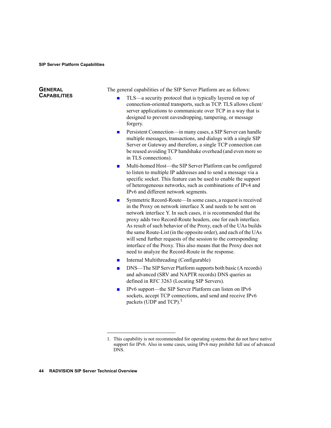### <span id="page-47-0"></span>**GENERAL CAPABILITIES**

The general capabilities of the SIP Server Platform are as follows:

- TLS—a security protocol that is typically layered on top of connection-oriented transports, such as TCP. TLS allows client/ server applications to communicate over TCP in a way that is designed to prevent eavesdropping, tampering, or message forgery.
- **Persistent Connection—in many cases, a SIP Server can handle** multiple messages, transactions, and dialogs with a single SIP Server or Gateway and therefore, a single TCP connection can be reused avoiding TCP handshake overhead (and even more so in TLS connections).
- Multi-homed Host—the SIP Server Platform can be configured to listen to multiple IP addresses and to send a message via a specific socket. This feature can be used to enable the support of heterogeneous networks, such as combinations of IPv4 and IPv6 and different network segments.
- Symmetric Record-Route—In some cases, a request is received in the Proxy on network interface X and needs to be sent on network interface Y. In such cases, it is recommended that the proxy adds two Record-Route headers, one for each interface. As result of such behavior of the Proxy, each of the UAs builds the same Route-List (in the opposite order), and each of the UAs will send further requests of the session to the corresponding interface of the Proxy. This also means that the Proxy does not need to analyze the Record-Route in the response.
- **Internal Multithreading (Configurable)**
- **DNS—The SIP Server Platform supports both basic (A records)** and advanced (SRV and NAPTR records) DNS queries as defined in RFC 3263 (Locating SIP Servers).
- **IPV6** support—the SIP Server Platform can listen on IPv6 sockets, accept TCP connections, and send and receive IPv6 packets (UDP and TCP). $<sup>1</sup>$ </sup>

<sup>1.</sup> This capability is not recommended for operating systems that do not have native support for IPv6. Also in some cases, using IPv6 may prohibit full use of advanced DNS.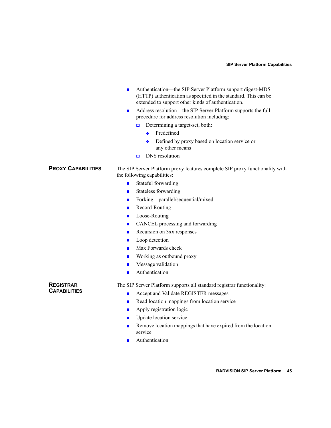<span id="page-48-0"></span>

|                                         | Authentication—the SIP Server Platform support digest-MD5<br>$\blacksquare$<br>(HTTP) authentication as specified in the standard. This can be<br>extended to support other kinds of authentication. |
|-----------------------------------------|------------------------------------------------------------------------------------------------------------------------------------------------------------------------------------------------------|
|                                         | Address resolution—the SIP Server Platform supports the full<br>$\blacksquare$<br>procedure for address resolution including:                                                                        |
|                                         | Determining a target-set, both:<br>О                                                                                                                                                                 |
|                                         | Predefined<br>٠                                                                                                                                                                                      |
|                                         | Defined by proxy based on location service or<br>٠<br>any other means                                                                                                                                |
|                                         | <b>DNS</b> resolution<br>о                                                                                                                                                                           |
| <b>PROXY CAPABILITIES</b>               | The SIP Server Platform proxy features complete SIP proxy functionality with<br>the following capabilities:                                                                                          |
|                                         | Stateful forwarding<br>$\blacksquare$                                                                                                                                                                |
|                                         | Stateless forwarding<br>$\blacksquare$                                                                                                                                                               |
|                                         | Forking-parallel/sequential/mixed<br>$\blacksquare$                                                                                                                                                  |
|                                         | Record-Routing<br>ш                                                                                                                                                                                  |
|                                         | Loose-Routing<br>ш                                                                                                                                                                                   |
|                                         | CANCEL processing and forwarding<br>$\blacksquare$                                                                                                                                                   |
|                                         | Recursion on 3xx responses<br>ш                                                                                                                                                                      |
|                                         | Loop detection<br>ш                                                                                                                                                                                  |
|                                         | Max Forwards check<br>ш                                                                                                                                                                              |
|                                         | Working as outbound proxy<br>$\blacksquare$                                                                                                                                                          |
|                                         | Message validation<br>ш                                                                                                                                                                              |
|                                         | Authentication<br>$\blacksquare$                                                                                                                                                                     |
| <b>REGISTRAR</b><br><b>CAPABILITIES</b> | The SIP Server Platform supports all standard registrar functionality:                                                                                                                               |
|                                         | Accept and Validate REGISTER messages<br>$\blacksquare$                                                                                                                                              |
|                                         | Read location mappings from location service<br>$\blacksquare$                                                                                                                                       |
|                                         | Apply registration logic<br>ш                                                                                                                                                                        |
|                                         | Update location service                                                                                                                                                                              |
|                                         | Remove location mappings that have expired from the location<br>ш                                                                                                                                    |

<span id="page-48-1"></span>**Authentication** 

service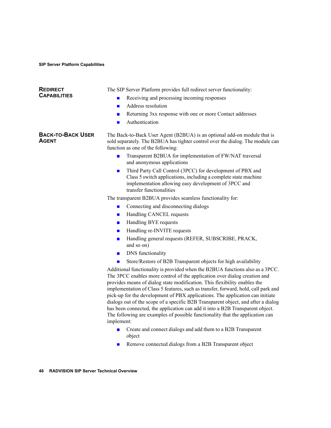<span id="page-49-1"></span><span id="page-49-0"></span>

| <b>REDIRECT</b><br><b>CAPABILITIES</b>   | The SIP Server Platform provides full redirect server functionality:<br>Receiving and processing incoming responses<br>$\blacksquare$<br>Address resolution<br>$\blacksquare$<br>Returning 3xx response with one or more Contact addresses<br>Authentication |
|------------------------------------------|--------------------------------------------------------------------------------------------------------------------------------------------------------------------------------------------------------------------------------------------------------------|
| <b>BACK-TO-BACK USER</b><br><b>AGENT</b> | The Back-to-Back User Agent (B2BUA) is an optional add-on module that is<br>sold separately. The B2BUA has tighter control over the dialog. The module can<br>function as one of the following:                                                              |
|                                          | Transparent B2BUA for implementation of FW/NAT traversal<br>and anonymous applications                                                                                                                                                                       |
|                                          | Third Party Call Control (3PCC) for development of PBX and<br>$\blacksquare$<br>Class 5 switch applications, including a complete state machine<br>implementation allowing easy development of 3PCC and<br>transfer functionalities                          |
|                                          | The transparent B2BUA provides seamless functionality for:                                                                                                                                                                                                   |
|                                          | Connecting and disconnecting dialogs<br>$\blacksquare$                                                                                                                                                                                                       |
|                                          | Handling CANCEL requests<br>$\blacksquare$                                                                                                                                                                                                                   |
|                                          | Handling BYE requests<br>$\blacksquare$                                                                                                                                                                                                                      |
|                                          | Handling re-INVITE requests                                                                                                                                                                                                                                  |
|                                          | Handling general requests (REFER, SUBSCRIBE, PRACK,<br>$\blacksquare$<br>and so on)                                                                                                                                                                          |
|                                          | $P(X X X) = P(X X) = P(X X)$                                                                                                                                                                                                                                 |

- **DNS** functionality
- Store/Restore of B2B Transparent objects for high availability

Additional functionality is provided when the B2BUA functions also as a 3PCC. The 3PCC enables more control of the application over dialog creation and provides means of dialog state modification. This flexibility enables the implementation of Class 5 features, such as transfer, forward, hold, call park and pick-up for the development of PBX applications. The application can initiate dialogs out of the scope of a specific B2B Transparent object, and after a dialog has been connected, the application can add it into a B2B Transparent object. The following are examples of possible functionality that the application can implement:

- Create and connect dialogs and add them to a B2B Transparent object
- **Remove connected dialogs from a B2B Transparent object**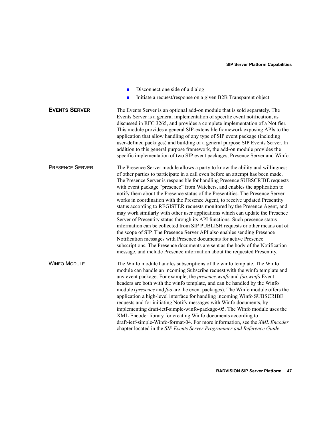- **Disconnect one side of a dialog**
- Initiate a request/response on a given B2B Transparent object

<span id="page-50-0"></span>**EVENTS SERVER** The Events Server is an optional add-on module that is sold separately. The Events Server is a general implementation of specific event notification, as discussed in RFC 3265, and provides a complete implementation of a Notifier. This module provides a general SIP-extensible framework exposing APIs to the application that allow handling of any type of SIP event package (including user-defined packages) and building of a general purpose SIP Events Server. In addition to this general purpose framework, the add-on module provides the specific implementation of two SIP event packages, Presence Server and Winfo.

PRESENCE SERVER The Presence Server module allows a party to know the ability and willingness of other parties to participate in a call even before an attempt has been made. The Presence Server is responsible for handling Presence SUBSCRIBE requests with event package "presence" from Watchers, and enables the application to notify them about the Presence status of the Presentities. The Presence Server works in coordination with the Presence Agent, to receive updated Presentity status according to REGISTER requests monitored by the Presence Agent, and may work similarly with other user applications which can update the Presence Server of Presentity status through its API functions. Such presence status information can be collected from SIP PUBLISH requests or other means out of the scope of SIP. The Presence Server API also enables sending Presence Notification messages with Presence documents for active Presence subscriptions. The Presence documents are sent as the body of the Notification message, and include Presence information about the requested Presentity.

WINFO MODULE The Winfo module handles subscriptions of the winfo template. The Winfo module can handle an incoming Subscribe request with the winfo template and any event package. For example, the *presence.winfo* and *foo.winfo* Event headers are both with the winfo template, and can be handled by the Winfo module (*presence* and *foo* are the event packages). The Winfo module offers the application a high-level interface for handling incoming Winfo SUBSCRIBE requests and for initiating Notify messages with Winfo documents, by implementing draft-ietf-simple-winfo-package-05. The Winfo module uses the XML Encoder library for creating Winfo documents according to draft-ietf-simple-Winfo-format-04. For more information, see the *XML Encoder* chapter located in the *SIP Events Server Programmer and Reference Guide*.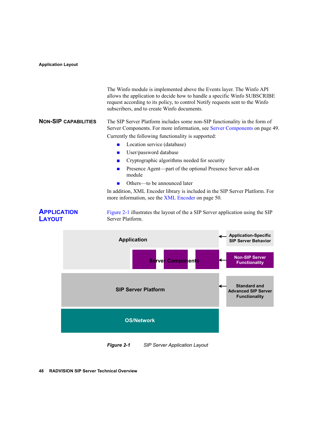### **Application Layout**

The Winfo module is implemented above the Events layer. The Winfo API allows the application to decide how to handle a specific Winfo SUBSCRIBE request according to its policy, to control Notify requests sent to the Winfo subscribers, and to create Winfo documents.

### <span id="page-51-0"></span>**NON-SIP CAPABILITIES** The SIP Server Platform includes some non-SIP functionality in the form of Server Components. For more information, see [Server Components on page 49](#page-52-0).

Currently the following functionality is supported:

- **Location service (database)**
- **User/password database**
- **Cryptographic algorithms needed for security**
- **Presence Agent—part of the optional Presence Server add-on** module
- Others—to be announced later

In addition, XML Encoder library is included in the SIP Server Platform. For more information, see the [XML Encoder on page 50.](#page-53-0)

### <span id="page-51-1"></span>**APPLICATION LAYOUT**

Figure 2-1 illustrates the layout of the a SIP Server application using the SIP Server Platform.



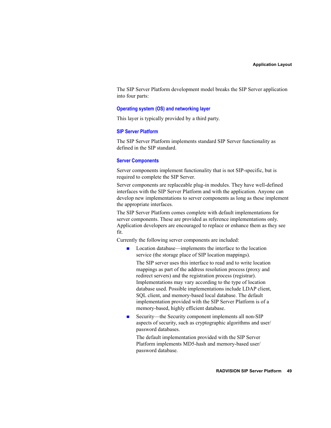The SIP Server Platform development model breaks the SIP Server application into four parts:

### **Operating system (OS) and networking layer**

This layer is typically provided by a third party.

### **SIP Server Platform**

The SIP Server Platform implements standard SIP Server functionality as defined in the SIP standard.

### <span id="page-52-0"></span>**Server Components**

Server components implement functionality that is not SIP-specific, but is required to complete the SIP Server.

Server components are replaceable plug-in modules. They have well-defined interfaces with the SIP Server Platform and with the application. Anyone can develop new implementations to server components as long as these implement the appropriate interfaces.

The SIP Server Platform comes complete with default implementations for server components. These are provided as reference implementations only. Application developers are encouraged to replace or enhance them as they see fit.

Currently the following server components are included:

■ Location database—implements the interface to the location service (the storage place of SIP location mappings).

The SIP server uses this interface to read and to write location mappings as part of the address resolution process (proxy and redirect servers) and the registration process (registrar). Implementations may vary according to the type of location database used. Possible implementations include LDAP client, SQL client, and memory-based local database. The default implementation provided with the SIP Server Platform is of a memory-based, highly efficient database.

■ Security—the Security component implements all non-SIP aspects of security, such as cryptographic algorithms and user/ password databases.

The default implementation provided with the SIP Server Platform implements MD5-hash and memory-based user/ password database.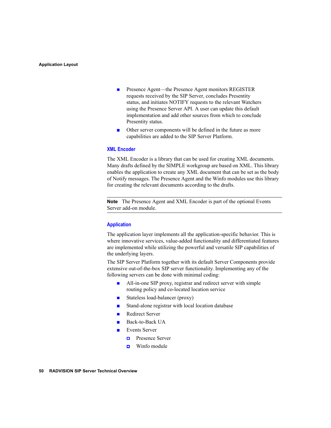- **Presence Agent—the Presence Agent monitors REGISTER** requests received by the SIP Server, concludes Presentity status, and initiates NOTIFY requests to the relevant Watchers using the Presence Server API. A user can update this default implementation and add other sources from which to conclude Presentity status.
- **Other server components will be defined in the future as more** capabilities are added to the SIP Server Platform.

### <span id="page-53-0"></span>**XML Encoder**

The XML Encoder is a library that can be used for creating XML documents. Many drafts defined by the SIMPLE workgroup are based on XML. This library enables the application to create any XML document that can be set as the body of Notify messages. The Presence Agent and the Winfo modules use this library for creating the relevant documents according to the drafts.

**Note** The Presence Agent and XML Encoder is part of the optional Events Server add-on module.

### **Application**

The application layer implements all the application-specific behavior. This is where innovative services, value-added functionality and differentiated features are implemented while utilizing the powerful and versatile SIP capabilities of the underlying layers.

The SIP Server Platform together with its default Server Components provide extensive out-of-the-box SIP server functionality. Implementing any of the following servers can be done with minimal coding:

- **All-in-one SIP proxy, registrar and redirect server with simple** routing policy and co-located location service
- Stateless load-balancer (proxy)
- **Stand-alone registrar with local location database**
- Redirect Server
- Back-to-Back UA
- **Events** Server
	- **D** Presence Server
	- -Winfo module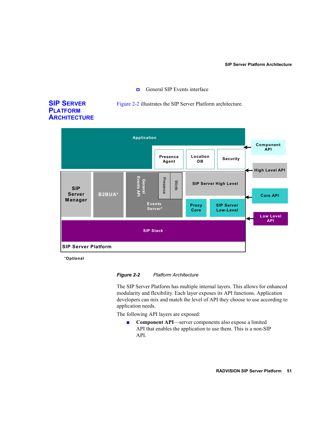- $\blacksquare$ General SIP Events interface
- 

Figure 2-2 illustrates the SIP Server Platform architecture.

### <span id="page-54-0"></span>**SIP SERVER PLATFORM ARCHITECTURE**

**Application Component API Presence Location DB Security Agent High Level API General**<br>Events API **Events API** Presence Presence Winfo **SIP Server High Level SIP Server B2BUA\* Core API Manager Events SIP Server Proxy Server\* Core Low-Level Low Level API SIP Stack SIP Server Platform**

\***Optional**



The SIP Server Platform has multiple internal layers. This allows for enhanced modularity and flexibility. Each layer exposes its API functions. Application developers can mix and match the level of API they choose to use according to application needs.

The following API layers are exposed:

**Component API—server components also expose a limited** API that enables the application to use them. This is a non-SIP API.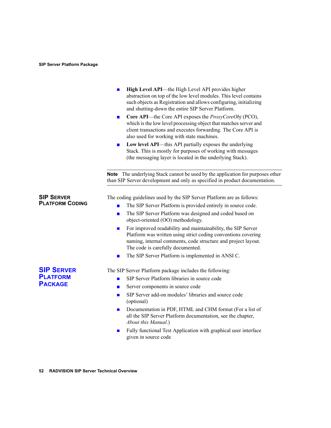<span id="page-55-0"></span>

|                                                        | High Level API—the High Level API provides higher<br>abstraction on top of the low level modules. This level contains<br>such objects as Registration and allows configuring, initializing<br>and shutting-down the entire SIP Server Platform.                           |
|--------------------------------------------------------|---------------------------------------------------------------------------------------------------------------------------------------------------------------------------------------------------------------------------------------------------------------------------|
|                                                        | <b>Core API—the Core API exposes the ProxyCoreObj (PCO),</b><br>$\blacksquare$<br>which is the low level processing object that matches server and<br>client transactions and executes forwarding. The Core API is<br>also used for working with state machines.          |
|                                                        | Low level API—this API partially exposes the underlying<br>$\blacksquare$<br>Stack. This is mostly for purposes of working with messages<br>(the messaging layer is located in the underlying Stack).                                                                     |
|                                                        | <b>Note</b> The underlying Stack cannot be used by the application for purposes other<br>than SIP Server development and only as specified in product documentation.                                                                                                      |
| <b>SIP SERVER</b><br><b>PLATFORM CODING</b>            | The coding guidelines used by the SIP Server Platform are as follows:<br>The SIP Server Platform is provided entirely in source code.<br>$\blacksquare$<br>The SIP Server Platform was designed and coded based on<br>$\blacksquare$<br>object-oriented (OO) methodology. |
|                                                        | For improved readability and maintainability, the SIP Server<br>$\blacksquare$<br>Platform was written using strict coding conventions covering<br>naming, internal comments, code structure and project layout.<br>The code is carefully documented.                     |
|                                                        | The SIP Server Platform is implemented in ANSI C.<br>$\blacksquare$                                                                                                                                                                                                       |
| <b>SIP SERVER</b><br><b>PLATFORM</b><br><b>PACKAGE</b> | The SIP Server Platform package includes the following:<br>SIP Server Platform libraries in source code<br>$\blacksquare$                                                                                                                                                 |
|                                                        | Server components in source code<br>$\blacksquare$                                                                                                                                                                                                                        |
|                                                        | SIP Server add-on modules' libraries and source code<br>$\blacksquare$<br>(optional)                                                                                                                                                                                      |
|                                                        | Documentation in PDF, HTML and CHM format (For a list of<br>$\blacksquare$<br>all the SIP Server Platform documentation, see the chapter,                                                                                                                                 |

*About this Manual*.)

<span id="page-55-1"></span>**Fully functional Test Application with graphical user interface** given in source code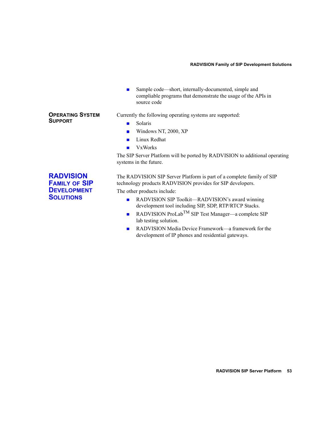■ Sample code—short, internally-documented, simple and compliable programs that demonstrate the usage of the APIs in source code

Currently the following operating systems are supported:

- **Solaris**
- Windows NT, 2000,  $XP$
- **Linux Redhat**
- **VxWorks**

The SIP Server Platform will be ported by RADVISION to additional operating systems in the future.

The RADVISION SIP Server Platform is part of a complete family of SIP technology products RADVISION provides for SIP developers.

The other products include:

- RADVISION SIP Toolkit—RADVISION's award winning development tool including SIP, SDP, RTP/RTCP Stacks.
- **RADVISION ProLab<sup>TM</sup>** SIP Test Manager—a complete SIP lab testing solution.
- **RADVISION Media Device Framework—a framework for the** development of IP phones and residential gateways.

### <span id="page-56-0"></span>**OPERATING SYSTEM SUPPORT**

<span id="page-56-1"></span>**RADVISION FAMILY OF SIP DEVELOPMENT SOLUTIONS**